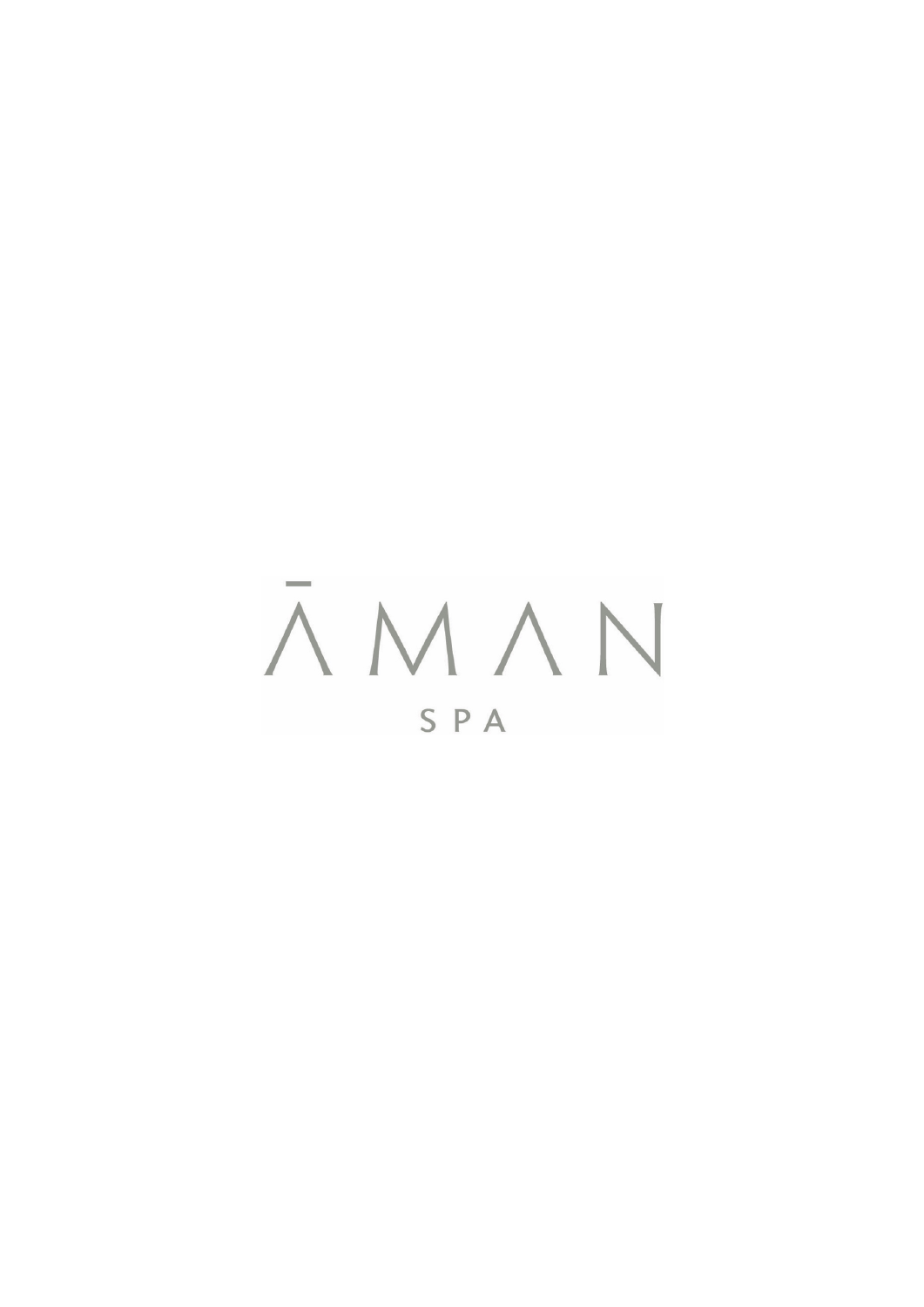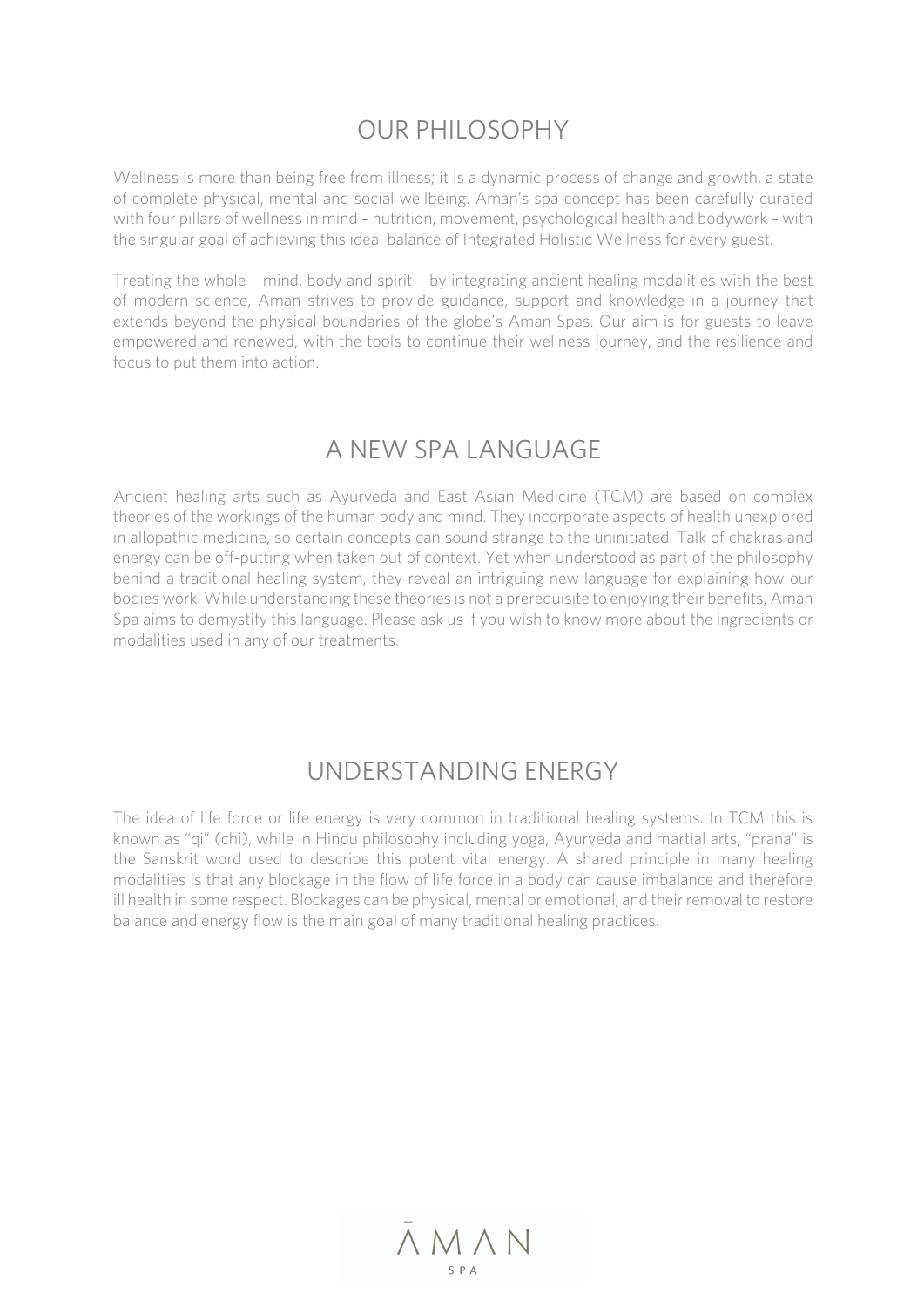# OUR PHILOSOPHY

Wellness is more than being free from illness; it is a dynamic process of change and growth, a state of complete physical, mental and social wellbeing. Aman's spa concept has been carefully curated with four pillars of wellness in mind – nutrition, movement, psychological health and bodywork – with the singular goal of achieving this ideal balance of Integrated Holistic Wellness for every guest.

Treating the whole – mind, body and spirit – by integrating ancient healing modalities with the best of modern science, Aman strives to provide guidance, support and knowledge in a journey that extends beyond the physical boundaries of the globe's Aman Spas. Our aim is for guests to leave empowered and renewed, with the tools to continue their wellness journey, and the resilience and focus to put them into action.

## A NEW SPA LANGUAGE

Ancient healing arts such as Ayurveda and East Asian Medicine (TCM) are based on complex theories of the workings of the human body and mind. They incorporate aspects of health unexplored in allopathic medicine, so certain concepts can sound strange to the uninitiated. Talk of chakras and energy can be off-putting when taken out of context. Yet when understood as part of the philosophy behind a traditional healing system, they reveal an intriguing new language for explaining how our bodies work. While understanding these theories is not a prerequisite to enjoying their benefits, Aman Spa aims to demystify this language. Please ask us if you wish to know more about the ingredients or modalities used in any of our treatments.

## UNDERSTANDING ENERGY

The idea of life force or life energy is very common in traditional healing systems. In TCM this is known as "qi" (chi), while in Hindu philosophy including yoga, Ayurveda and martial arts, "prana" is the Sanskrit word used to describe this potent vital energy. A shared principle in many healing modalities is that any blockage in the flow of life force in a body can cause imbalance and therefore ill health in some respect. Blockages can be physical, mental or emotional, and their removal to restore balance and energy flow is the main goal of many traditional healing practices.

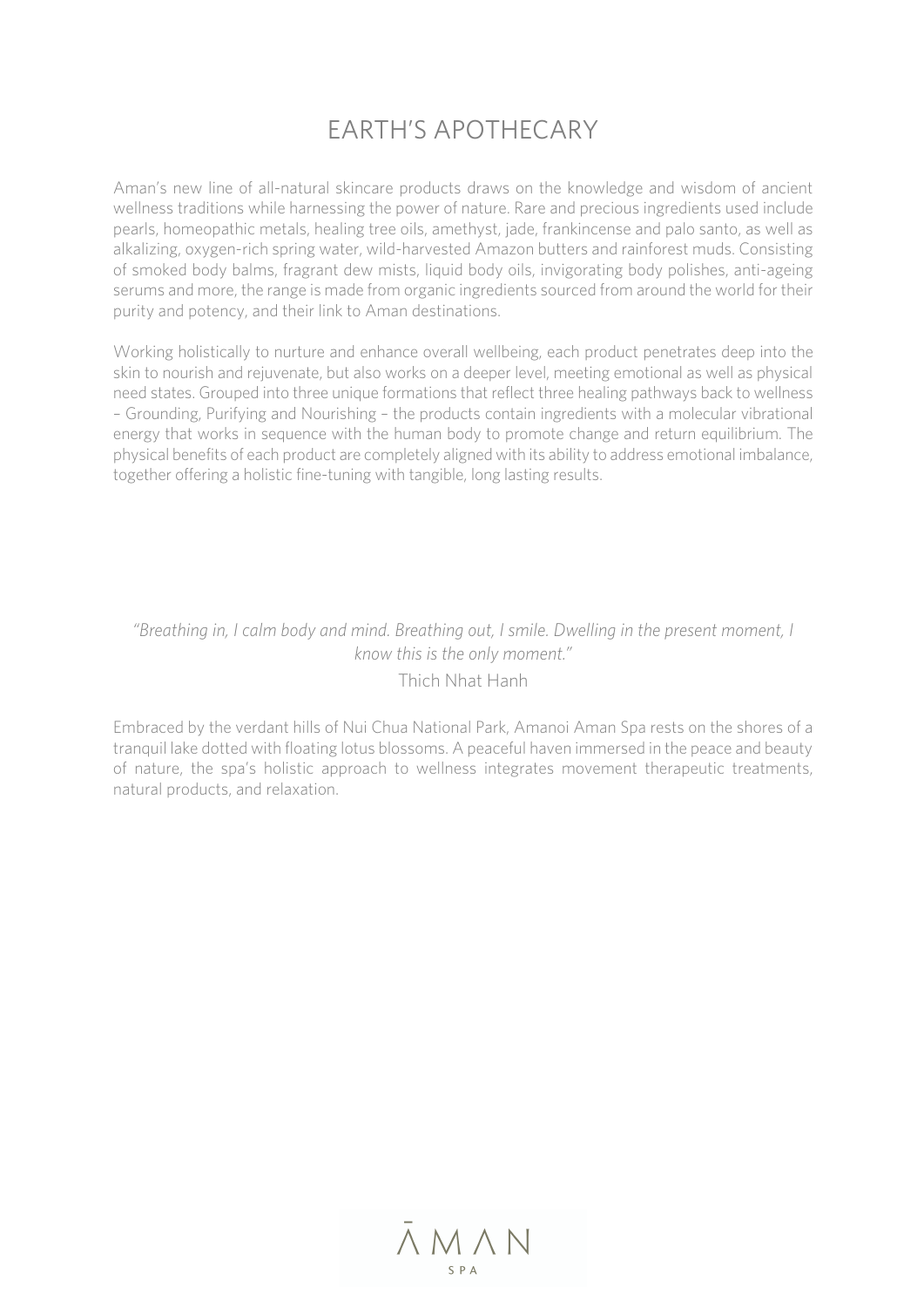# EARTH'S APOTHECARY

Aman's new line of all-natural skincare products draws on the knowledge and wisdom of ancient wellness traditions while harnessing the power of nature. Rare and precious ingredients used include pearls, homeopathic metals, healing tree oils, amethyst, jade, frankincense and palo santo, as well as alkalizing, oxygen-rich spring water, wild-harvested Amazon butters and rainforest muds. Consisting of smoked body balms, fragrant dew mists, liquid body oils, invigorating body polishes, anti-ageing serums and more, the range is made from organic ingredients sourced from around the world for their purity and potency, and their link to Aman destinations.

Working holistically to nurture and enhance overall wellbeing, each product penetrates deep into the skin to nourish and rejuvenate, but also works on a deeper level, meeting emotional as well as physical need states. Grouped into three unique formations that reflect three healing pathways back to wellness – Grounding, Purifying and Nourishing – the products contain ingredients with a molecular vibrational energy that works in sequence with the human body to promote change and return equilibrium. The physical benefits of each product are completely aligned with its ability to address emotional imbalance, together offering a holistic fine-tuning with tangible, long lasting results.

### *"Breathing in, I calm body and mind. Breathing out, I smile. Dwelling in the present moment, I know this is the only moment."* Thich Nhat Hanh

Embraced by the verdant hills of Nui Chua National Park, Amanoi Aman Spa rests on the shores of a tranquil lake dotted with floating lotus blossoms. A peaceful haven immersed in the peace and beauty of nature, the spa's holistic approach to wellness integrates movement therapeutic treatments, natural products, and relaxation.

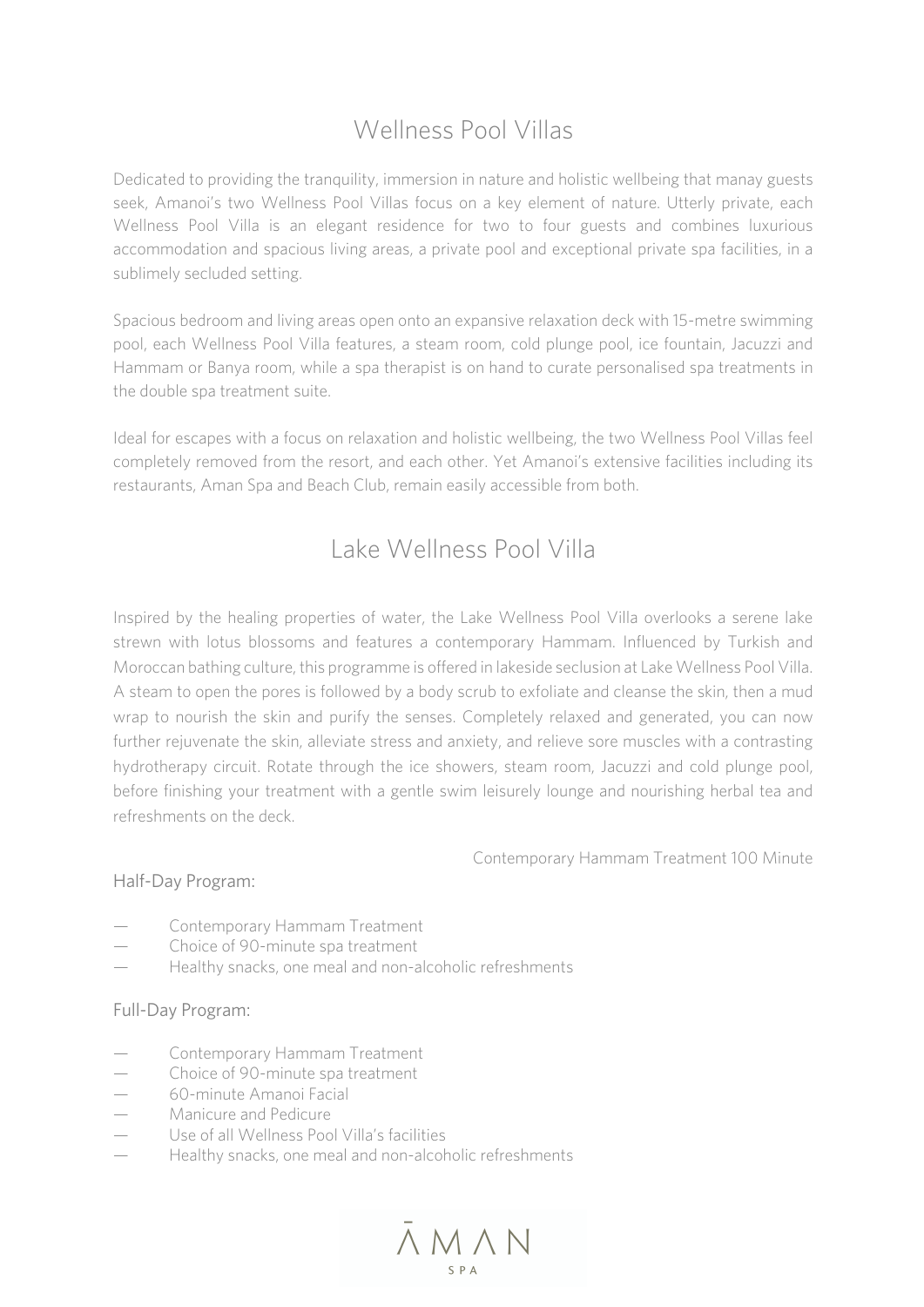# Wellness Pool Villas

Dedicated to providing the tranquility, immersion in nature and holistic wellbeing that manay guests seek, Amanoi's two Wellness Pool Villas focus on a key element of nature. Utterly private, each Wellness Pool Villa is an elegant residence for two to four guests and combines luxurious accommodation and spacious living areas, a private pool and exceptional private spa facilities, in a sublimely secluded setting.

Spacious bedroom and living areas open onto an expansive relaxation deck with 15-metre swimming pool, each Wellness Pool Villa features, a steam room, cold plunge pool, ice fountain, Jacuzzi and Hammam or Banya room, while a spa therapist is on hand to curate personalised spa treatments in the double spa treatment suite.

Ideal for escapes with a focus on relaxation and holistic wellbeing, the two Wellness Pool Villas feel completely removed from the resort, and each other. Yet Amanoi's extensive facilities including its restaurants, Aman Spa and Beach Club, remain easily accessible from both.

# Lake Wellness Pool Villa

Inspired by the healing properties of water, the Lake Wellness Pool Villa overlooks a serene lake strewn with lotus blossoms and features a contemporary Hammam. Influenced by Turkish and Moroccan bathing culture, this programme is offered in lakeside seclusion at Lake Wellness Pool Villa. A steam to open the pores is followed by a body scrub to exfoliate and cleanse the skin, then a mud wrap to nourish the skin and purify the senses. Completely relaxed and generated, you can now further rejuvenate the skin, alleviate stress and anxiety, and relieve sore muscles with a contrasting hydrotherapy circuit. Rotate through the ice showers, steam room, Jacuzzi and cold plunge pool, before finishing your treatment with a gentle swim leisurely lounge and nourishing herbal tea and refreshments on the deck.

Contemporary Hammam Treatment 100 Minute

### Half-Day Program:

- Contemporary Hammam Treatment
- Choice of 90-minute spa treatment
- Healthy snacks, one meal and non-alcoholic refreshments

### Full-Day Program:

- Contemporary Hammam Treatment
- Choice of 90-minute spa treatment
- 60-minute Amanoi Facial
- Manicure and Pedicure
- Use of all Wellness Pool Villa's facilities
- Healthy snacks, one meal and non-alcoholic refreshments

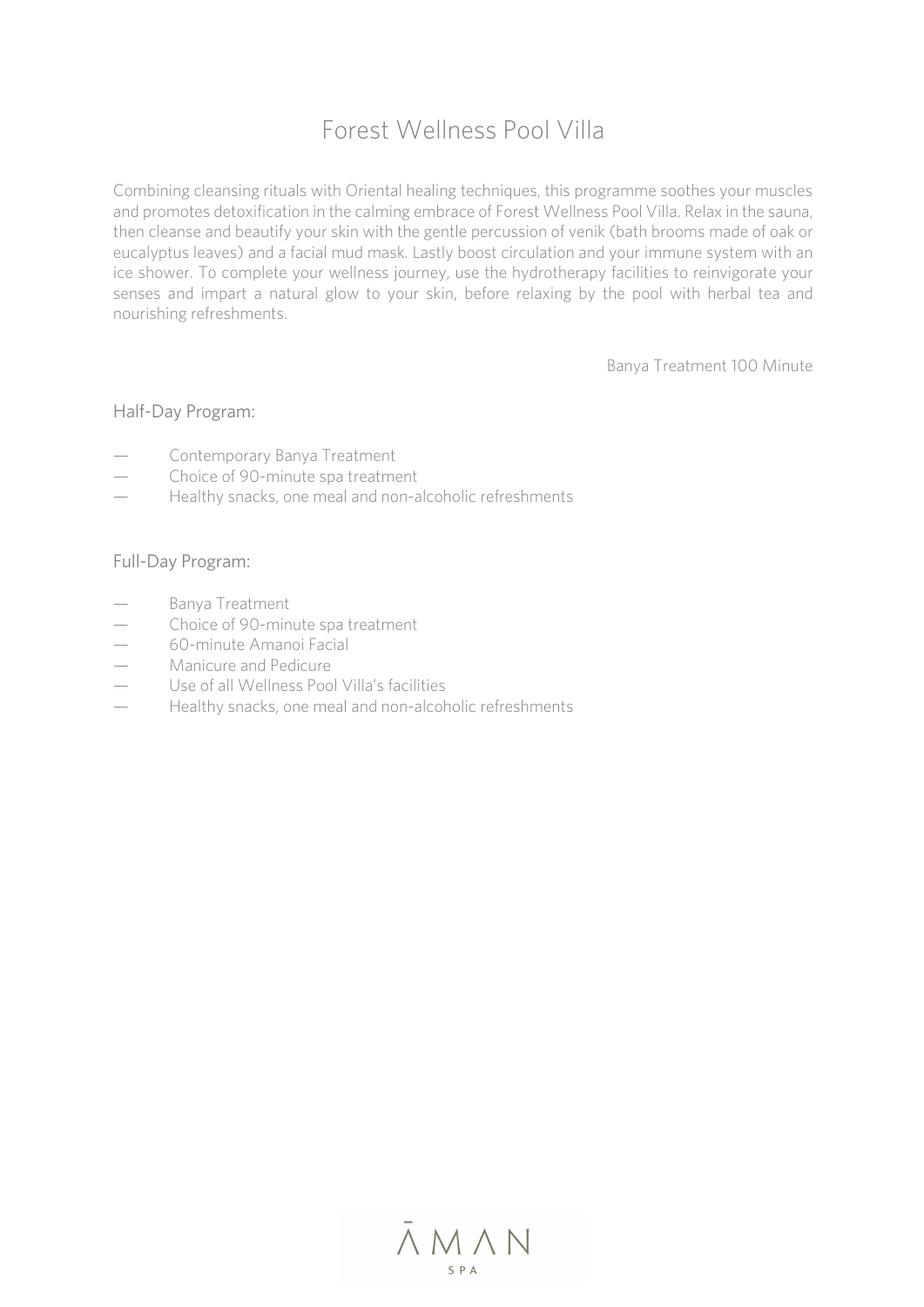# Forest Wellness Pool Villa

Combining cleansing rituals with Oriental healing techniques, this programme soothes your muscles and promotes detoxification in the calming embrace of Forest Wellness Pool Villa. Relax in the sauna, then cleanse and beautify your skin with the gentle percussion of venik (bath brooms made of oak or eucalyptus leaves) and a facial mud mask. Lastly boost circulation and your immune system with an ice shower. To complete your wellness journey, use the hydrotherapy facilities to reinvigorate your senses and impart a natural glow to your skin, before relaxing by the pool with herbal tea and nourishing refreshments.

Banya Treatment 100 Minute

#### Half-Day Program:

- Contemporary Banya Treatment
- Choice of 90-minute spa treatment
- Healthy snacks, one meal and non-alcoholic refreshments

#### Full-Day Program:

- Banya Treatment
- Choice of 90-minute spa treatment
- 60-minute Amanoi Facial
- Manicure and Pedicure
- Use of all Wellness Pool Villa's facilities
- Healthy snacks, one meal and non-alcoholic refreshments

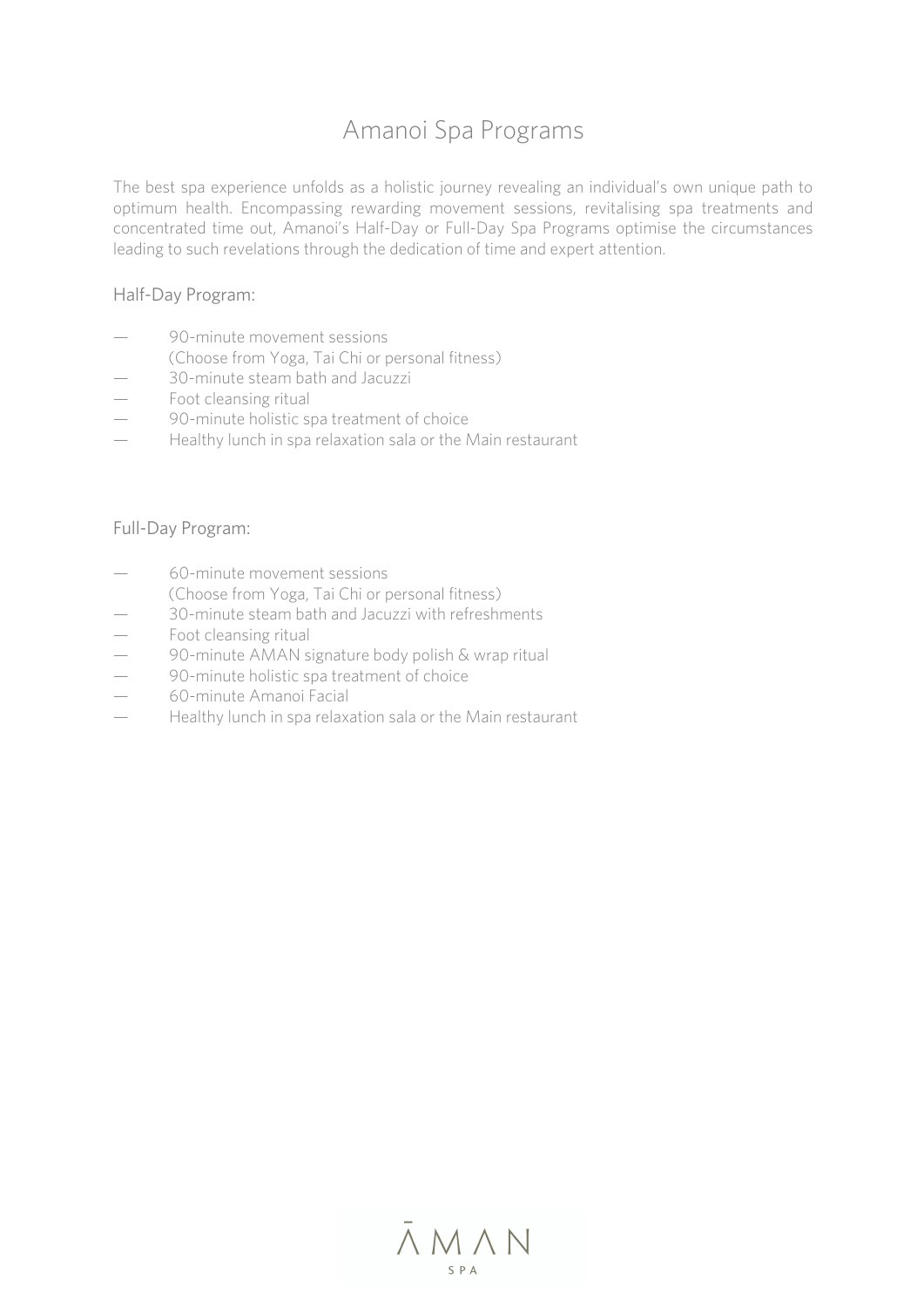### Amanoi Spa Programs

The best spa experience unfolds as a holistic journey revealing an individual's own unique path to optimum health. Encompassing rewarding movement sessions, revitalising spa treatments and concentrated time out, Amanoi's Half-Day or Full-Day Spa Programs optimise the circumstances leading to such revelations through the dedication of time and expert attention.

#### Half-Day Program:

- 90-minute movement sessions
	- (Choose from Yoga, Tai Chi or personal fitness)
- 30-minute steam bath and Jacuzzi
- Foot cleansing ritual
- 90-minute holistic spa treatment of choice
- Healthy lunch in spa relaxation sala or the Main restaurant

#### Full-Day Program:

- 60-minute movement sessions
- (Choose from Yoga, Tai Chi or personal fitness)
- 30-minute steam bath and Jacuzzi with refreshments
- Foot cleansing ritual
- 90-minute AMAN signature body polish & wrap ritual
- 90-minute holistic spa treatment of choice
- 60-minute Amanoi Facial
- Healthy lunch in spa relaxation sala or the Main restaurant

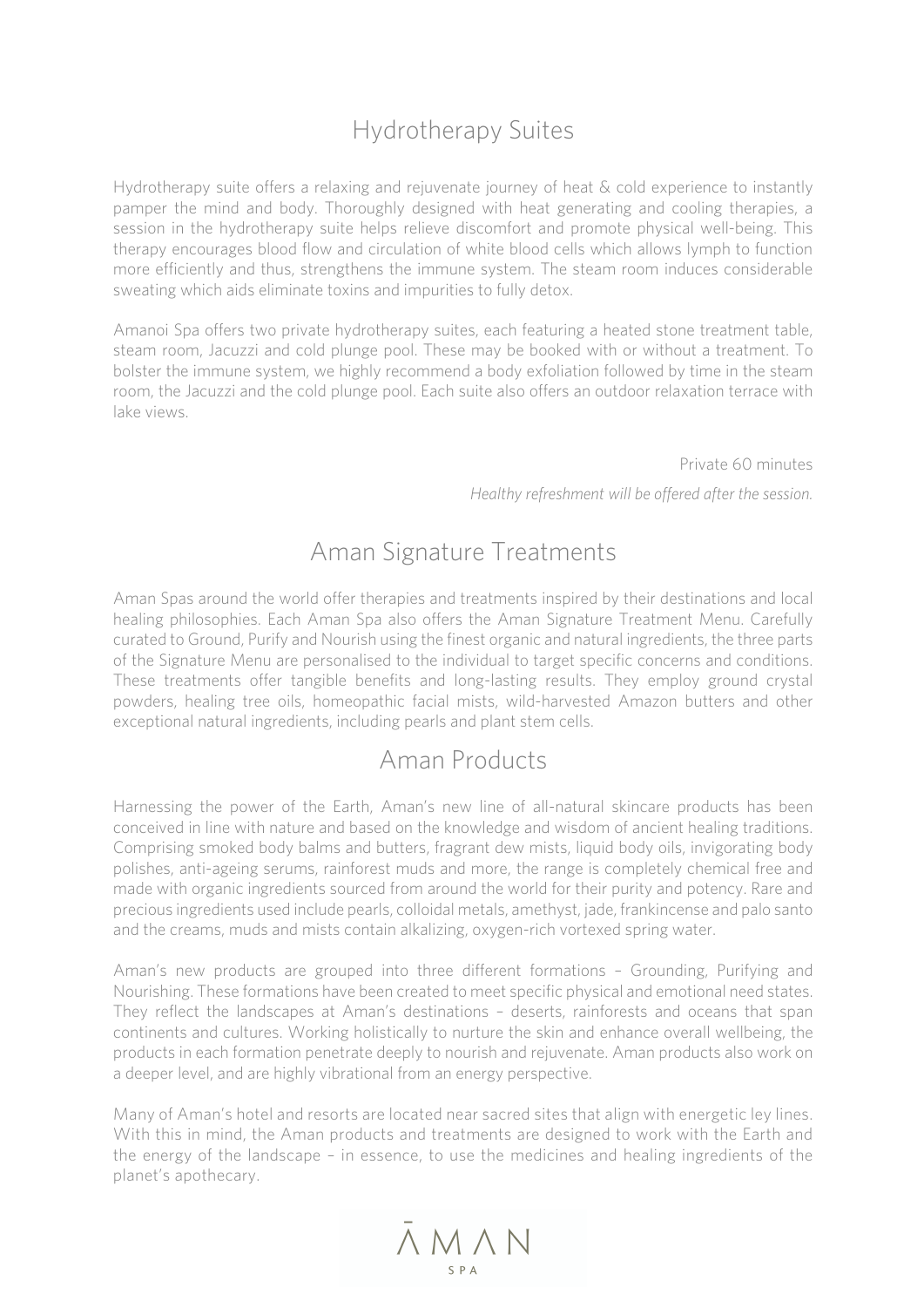# Hydrotherapy Suites

Hydrotherapy suite offers a relaxing and rejuvenate journey of heat & cold experience to instantly pamper the mind and body. Thoroughly designed with heat generating and cooling therapies, a session in the hydrotherapy suite helps relieve discomfort and promote physical well-being. This therapy encourages blood flow and circulation of white blood cells which allows lymph to function more efficiently and thus, strengthens the immune system. The steam room induces considerable sweating which aids eliminate toxins and impurities to fully detox.

Amanoi Spa offers two private hydrotherapy suites, each featuring a heated stone treatment table, steam room, Jacuzzi and cold plunge pool. These may be booked with or without a treatment. To bolster the immune system, we highly recommend a body exfoliation followed by time in the steam room, the Jacuzzi and the cold plunge pool. Each suite also offers an outdoor relaxation terrace with lake views.

Private 60 minutes

*Healthy refreshment will be offered after the session.*

# Aman Signature Treatments

Aman Spas around the world offer therapies and treatments inspired by their destinations and local healing philosophies. Each Aman Spa also offers the Aman Signature Treatment Menu. Carefully curated to Ground, Purify and Nourish using the finest organic and natural ingredients, the three parts of the Signature Menu are personalised to the individual to target specific concerns and conditions. These treatments offer tangible benefits and long-lasting results. They employ ground crystal powders, healing tree oils, homeopathic facial mists, wild-harvested Amazon butters and other exceptional natural ingredients, including pearls and plant stem cells.

### Aman Products

Harnessing the power of the Earth, Aman's new line of all-natural skincare products has been conceived in line with nature and based on the knowledge and wisdom of ancient healing traditions. Comprising smoked body balms and butters, fragrant dew mists, liquid body oils, invigorating body polishes, anti-ageing serums, rainforest muds and more, the range is completely chemical free and made with organic ingredients sourced from around the world for their purity and potency. Rare and precious ingredients used include pearls, colloidal metals, amethyst, jade, frankincense and palo santo and the creams, muds and mists contain alkalizing, oxygen-rich vortexed spring water.

Aman's new products are grouped into three different formations – Grounding, Purifying and Nourishing. These formations have been created to meet specific physical and emotional need states. They reflect the landscapes at Aman's destinations – deserts, rainforests and oceans that span continents and cultures. Working holistically to nurture the skin and enhance overall wellbeing, the products in each formation penetrate deeply to nourish and rejuvenate. Aman products also work on a deeper level, and are highly vibrational from an energy perspective.

Many of Aman's hotel and resorts are located near sacred sites that align with energetic ley lines. With this in mind, the Aman products and treatments are designed to work with the Earth and the energy of the landscape – in essence, to use the medicines and healing ingredients of the planet's apothecary.

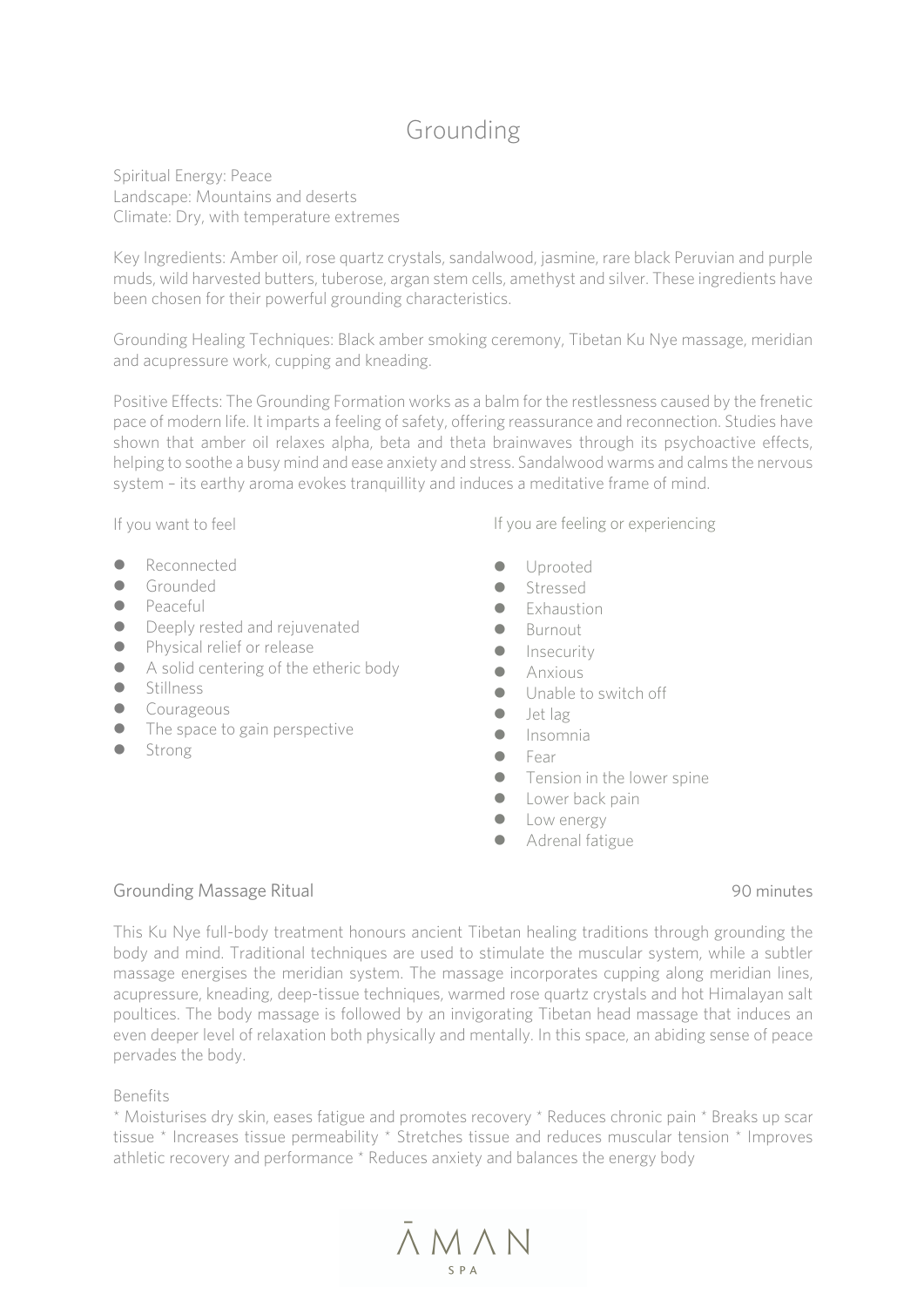# Grounding

Spiritual Energy: Peace Landscape: Mountains and deserts Climate: Dry, with temperature extremes

Key Ingredients: Amber oil, rose quartz crystals, sandalwood, jasmine, rare black Peruvian and purple muds, wild harvested butters, tuberose, argan stem cells, amethyst and silver. These ingredients have been chosen for their powerful grounding characteristics.

Grounding Healing Techniques: Black amber smoking ceremony, Tibetan Ku Nye massage, meridian and acupressure work, cupping and kneading.

Positive Effects: The Grounding Formation works as a balm for the restlessness caused by the frenetic pace of modern life. It imparts a feeling of safety, offering reassurance and reconnection. Studies have shown that amber oil relaxes alpha, beta and theta brainwaves through its psychoactive effects, helping to soothe a busy mind and ease anxiety and stress. Sandalwood warms and calms the nervous system – its earthy aroma evokes tranquillity and induces a meditative frame of mind.

If you want to feel

- Reconnected
- l Grounded
- **P**eaceful
- **•** Deeply rested and rejuvenated
- **•** Physical relief or release
- $\bullet$  A solid centering of the etheric body
- **·** Stillness
- $\bullet$  Courageous
- $\bullet$  The space to gain perspective
- **C** Strong

If you are feeling or experiencing

- **I** Uprooted
- **C** Stressed
- **•** Exhaustion
- $\bullet$  Burnout
- $\bullet$  Insecurity
- $\bullet$  Anxious
- $\bullet$  Unable to switch off
- $\bullet$  Jet lag
- $\bullet$  Insomnia
- $\bullet$  Fear
- $\bullet$  Tension in the lower spine
- $\bullet$  Lower back pain
- Low energy
- **•** Adrenal fatigue

#### Grounding Massage Ritual and the Contract of the Second Second Second Second Second Second Second Second Second Second Second Second Second Second Second Second Second Second Second Second Second Second Second Second Secon

This Ku Nye full-body treatment honours ancient Tibetan healing traditions through grounding the body and mind. Traditional techniques are used to stimulate the muscular system, while a subtler massage energises the meridian system. The massage incorporates cupping along meridian lines, acupressure, kneading, deep-tissue techniques, warmed rose quartz crystals and hot Himalayan salt poultices. The body massage is followed by an invigorating Tibetan head massage that induces an even deeper level of relaxation both physically and mentally. In this space, an abiding sense of peace pervades the body.

#### Benefits

\* Moisturises dry skin, eases fatigue and promotes recovery \* Reduces chronic pain \* Breaks up scar tissue \* Increases tissue permeability \* Stretches tissue and reduces muscular tension \* Improves athletic recovery and performance \* Reduces anxiety and balances the energy body

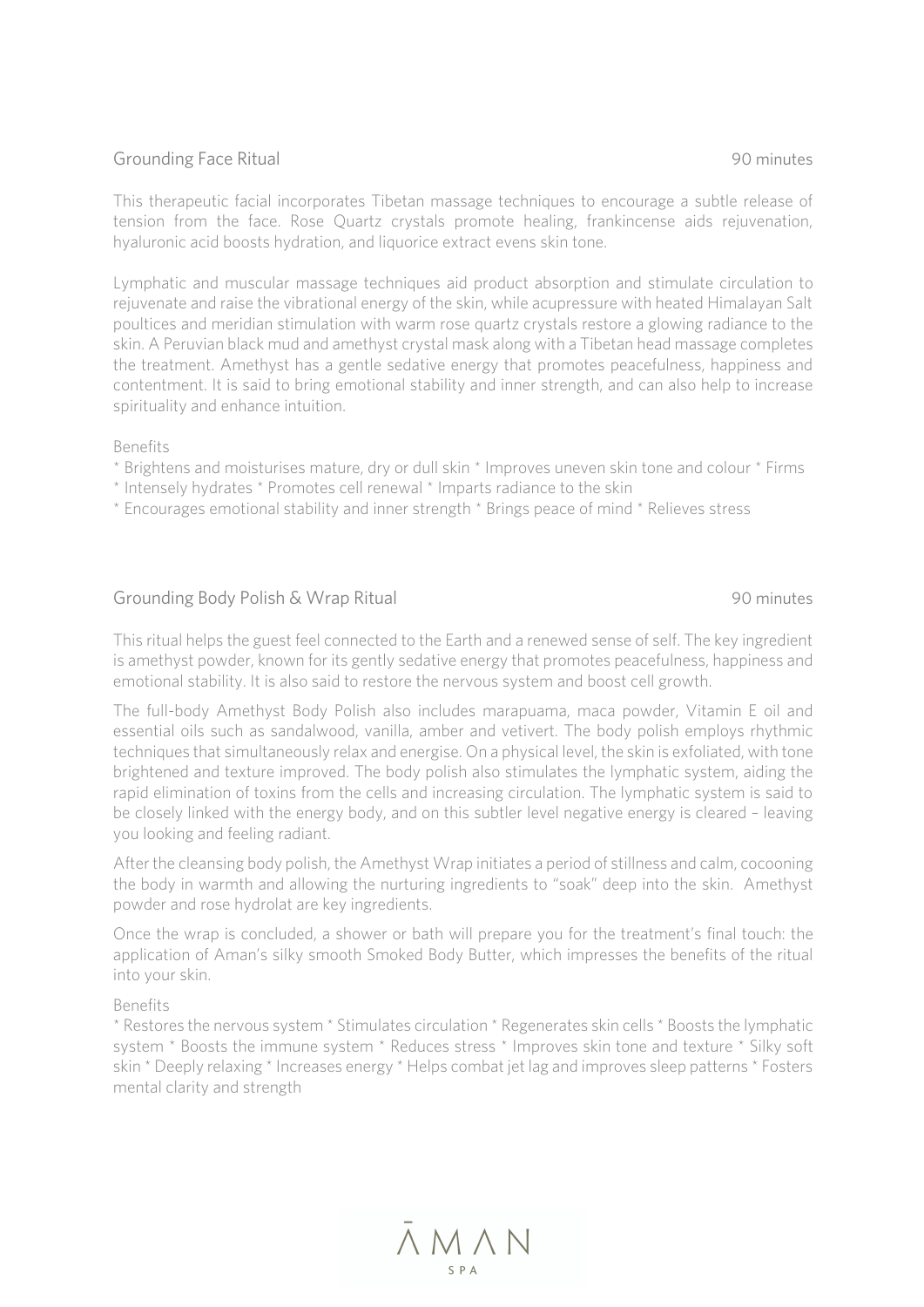#### Grounding Face Ritual and Security 190 minutes

This therapeutic facial incorporates Tibetan massage techniques to encourage a subtle release of tension from the face. Rose Quartz crystals promote healing, frankincense aids rejuvenation, hyaluronic acid boosts hydration, and liquorice extract evens skin tone.

Lymphatic and muscular massage techniques aid product absorption and stimulate circulation to rejuvenate and raise the vibrational energy of the skin, while acupressure with heated Himalayan Salt poultices and meridian stimulation with warm rose quartz crystals restore a glowing radiance to the skin. A Peruvian black mud and amethyst crystal mask along with a Tibetan head massage completes the treatment. Amethyst has a gentle sedative energy that promotes peacefulness, happiness and contentment. It is said to bring emotional stability and inner strength, and can also help to increase spirituality and enhance intuition.

Benefits

- \* Brightens and moisturises mature, dry or dull skin \* Improves uneven skin tone and colour \* Firms
- \* Intensely hydrates \* Promotes cell renewal \* Imparts radiance to the skin
- \* Encourages emotional stability and inner strength \* Brings peace of mind \* Relieves stress

#### Grounding Body Polish & Wrap Ritual 90 minutes

This ritual helps the guest feel connected to the Earth and a renewed sense of self. The key ingredient is amethyst powder, known for its gently sedative energy that promotes peacefulness, happiness and emotional stability. It is also said to restore the nervous system and boost cell growth.

The full-body Amethyst Body Polish also includes marapuama, maca powder, Vitamin E oil and essential oils such as sandalwood, vanilla, amber and vetivert. The body polish employs rhythmic techniques that simultaneously relax and energise. On a physical level, the skin is exfoliated, with tone brightened and texture improved. The body polish also stimulates the lymphatic system, aiding the rapid elimination of toxins from the cells and increasing circulation. The lymphatic system is said to be closely linked with the energy body, and on this subtler level negative energy is cleared – leaving you looking and feeling radiant.

After the cleansing body polish, the Amethyst Wrap initiates a period of stillness and calm, cocooning the body in warmth and allowing the nurturing ingredients to "soak" deep into the skin. Amethyst powder and rose hydrolat are key ingredients.

Once the wrap is concluded, a shower or bath will prepare you for the treatment's final touch: the application of Aman's silky smooth Smoked Body Butter, which impresses the benefits of the ritual into your skin.

Benefits

\* Restores the nervous system \* Stimulates circulation \* Regenerates skin cells \* Boosts the lymphatic system \* Boosts the immune system \* Reduces stress \* Improves skin tone and texture \* Silky soft skin \* Deeply relaxing \* Increases energy \* Helps combat jet lag and improves sleep patterns \* Fosters mental clarity and strength

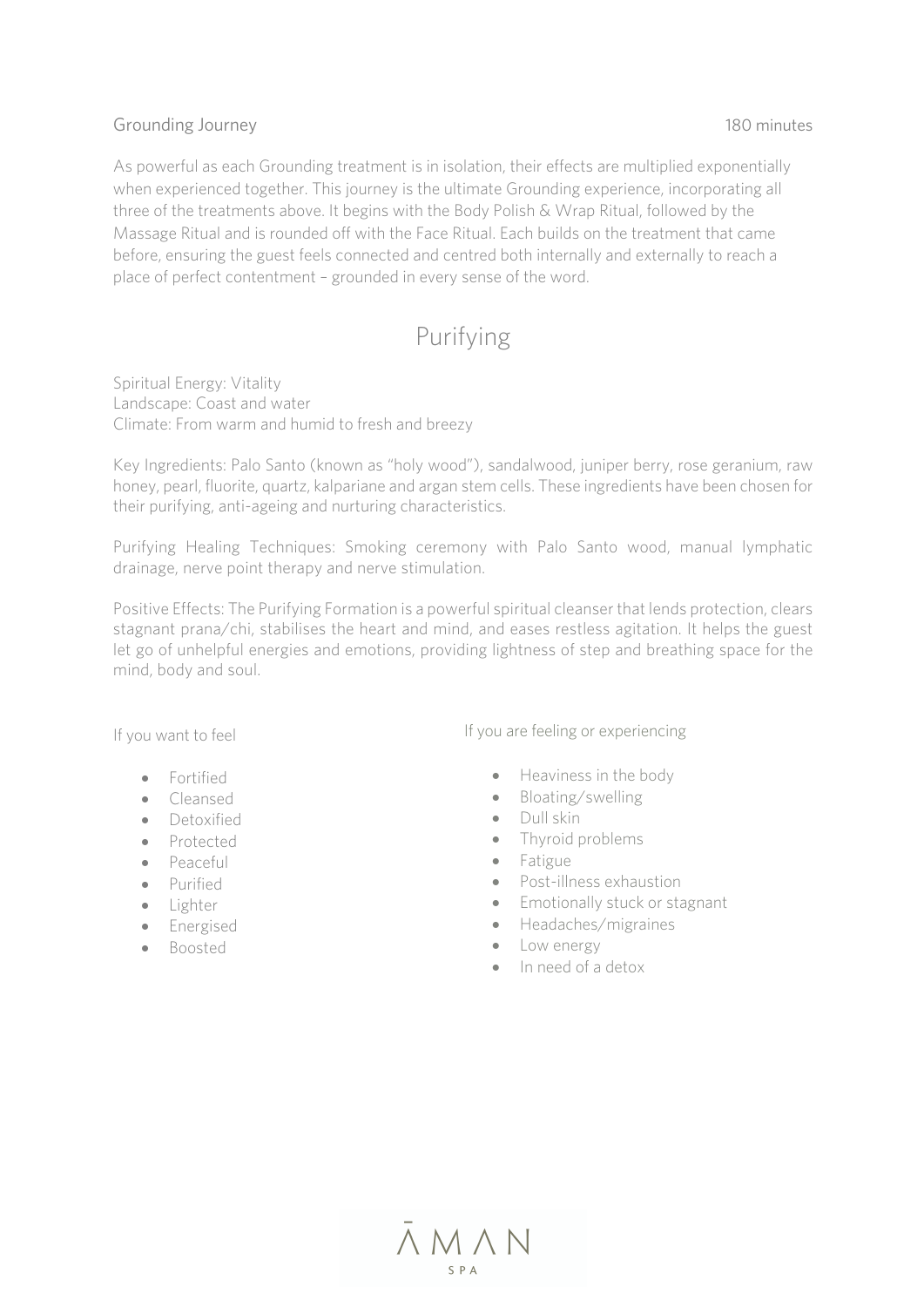### Grounding Journey **180 minutes** 180 minutes 180 minutes 180 minutes 180 minutes 180 minutes 180 minutes 180 minutes 180 minutes 180 minutes 180 minutes 180 minutes 180 minutes 180 minutes 180 minutes 180 minutes 180 minute

As powerful as each Grounding treatment is in isolation, their effects are multiplied exponentially when experienced together. This journey is the ultimate Grounding experience, incorporating all three of the treatments above. It begins with the Body Polish & Wrap Ritual, followed by the Massage Ritual and is rounded off with the Face Ritual. Each builds on the treatment that came before, ensuring the guest feels connected and centred both internally and externally to reach a place of perfect contentment – grounded in every sense of the word.

# Purifying

Spiritual Energy: Vitality Landscape: Coast and water Climate: From warm and humid to fresh and breezy

Key Ingredients: Palo Santo (known as "holy wood"), sandalwood, juniper berry, rose geranium, raw honey, pearl, fluorite, quartz, kalpariane and argan stem cells. These ingredients have been chosen for their purifying, anti-ageing and nurturing characteristics.

Purifying Healing Techniques: Smoking ceremony with Palo Santo wood, manual lymphatic drainage, nerve point therapy and nerve stimulation.

Positive Effects: The Purifying Formation is a powerful spiritual cleanser that lends protection, clears stagnant prana/chi, stabilises the heart and mind, and eases restless agitation. It helps the guest let go of unhelpful energies and emotions, providing lightness of step and breathing space for the mind, body and soul.

If you want to feel

- Fortified
- Cleansed
- Detoxified
- Protected
- Peaceful
- Purified
- Lighter
- Energised
- Boosted

If you are feeling or experiencing

- Heaviness in the body
- Bloating/swelling
- Dull skin
- Thyroid problems
- Fatigue
- Post-illness exhaustion
- Emotionally stuck or stagnant
- Headaches/migraines
- Low energy
- In need of a detox

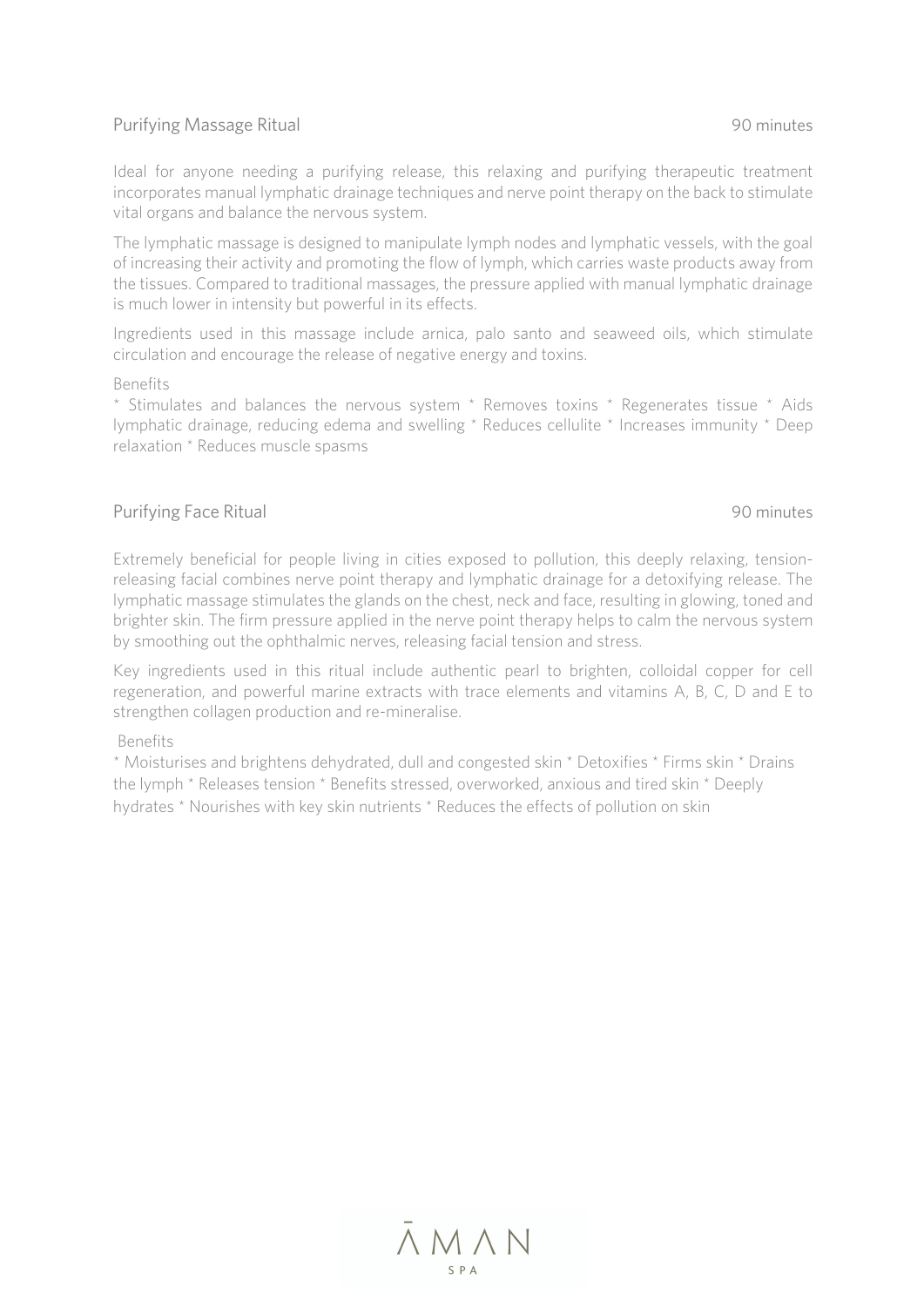#### Purifying Massage Ritual 1999 and 2009 and 2009 and 2009 and 2009 and 2009 and 2009 and 2009 and 2009 and 2009  $\mu$

Ideal for anyone needing a purifying release, this relaxing and purifying therapeutic treatment incorporates manual lymphatic drainage techniques and nerve point therapy on the back to stimulate vital organs and balance the nervous system.

The lymphatic massage is designed to manipulate lymph nodes and lymphatic vessels, with the goal of increasing their activity and promoting the flow of lymph, which carries waste products away from the tissues. Compared to traditional massages, the pressure applied with manual lymphatic drainage is much lower in intensity but powerful in its effects.

Ingredients used in this massage include arnica, palo santo and seaweed oils, which stimulate circulation and encourage the release of negative energy and toxins.

#### Benefits

\* Stimulates and balances the nervous system \* Removes toxins \* Regenerates tissue \* Aids lymphatic drainage, reducing edema and swelling \* Reduces cellulite \* Increases immunity \* Deep relaxation \* Reduces muscle spasms

#### Purifying Face Ritual 90 minutes

Extremely beneficial for people living in cities exposed to pollution, this deeply relaxing, tensionreleasing facial combines nerve point therapy and lymphatic drainage for a detoxifying release. The lymphatic massage stimulates the glands on the chest, neck and face, resulting in glowing, toned and brighter skin. The firm pressure applied in the nerve point therapy helps to calm the nervous system by smoothing out the ophthalmic nerves, releasing facial tension and stress.

Key ingredients used in this ritual include authentic pearl to brighten, colloidal copper for cell regeneration, and powerful marine extracts with trace elements and vitamins A, B, C, D and E to strengthen collagen production and re-mineralise.

#### Benefits

\* Moisturises and brightens dehydrated, dull and congested skin \* Detoxifies \* Firms skin \* Drains the lymph \* Releases tension \* Benefits stressed, overworked, anxious and tired skin \* Deeply hydrates \* Nourishes with key skin nutrients \* Reduces the effects of pollution on skin

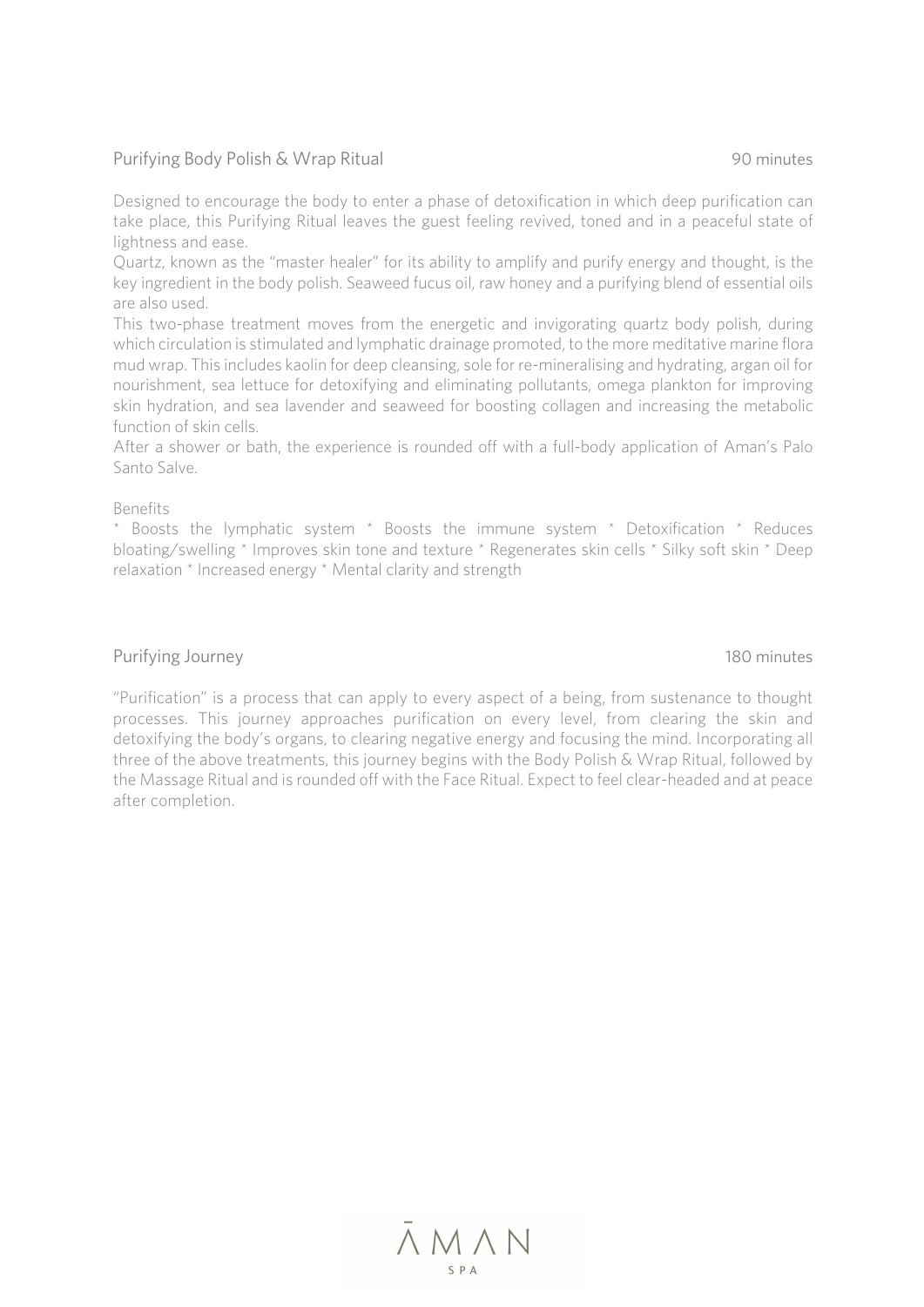#### Purifying Body Polish & Wrap Ritual 90 minutes

Designed to encourage the body to enter a phase of detoxification in which deep purification can take place, this Purifying Ritual leaves the guest feeling revived, toned and in a peaceful state of lightness and ease.

Quartz, known as the "master healer" for its ability to amplify and purify energy and thought, is the key ingredient in the body polish. Seaweed fucus oil, raw honey and a purifying blend of essential oils are also used.

This two-phase treatment moves from the energetic and invigorating quartz body polish, during which circulation is stimulated and lymphatic drainage promoted, to the more meditative marine flora mud wrap. This includes kaolin for deep cleansing, sole for re-mineralising and hydrating, argan oil for nourishment, sea lettuce for detoxifying and eliminating pollutants, omega plankton for improving skin hydration, and sea lavender and seaweed for boosting collagen and increasing the metabolic function of skin cells.

After a shower or bath, the experience is rounded off with a full-body application of Aman's Palo Santo Salve.

#### Benefits

\* Boosts the lymphatic system \* Boosts the immune system \* Detoxification \* Reduces bloating/swelling \* Improves skin tone and texture \* Regenerates skin cells \* Silky soft skin \* Deep relaxation \* Increased energy \* Mental clarity and strength

#### Purifying Journey 2008 180 minutes

"Purification" is a process that can apply to every aspect of a being, from sustenance to thought processes. This journey approaches purification on every level, from clearing the skin and detoxifying the body's organs, to clearing negative energy and focusing the mind. Incorporating all three of the above treatments, this journey begins with the Body Polish & Wrap Ritual, followed by the Massage Ritual and is rounded off with the Face Ritual. Expect to feel clear-headed and at peace after completion.

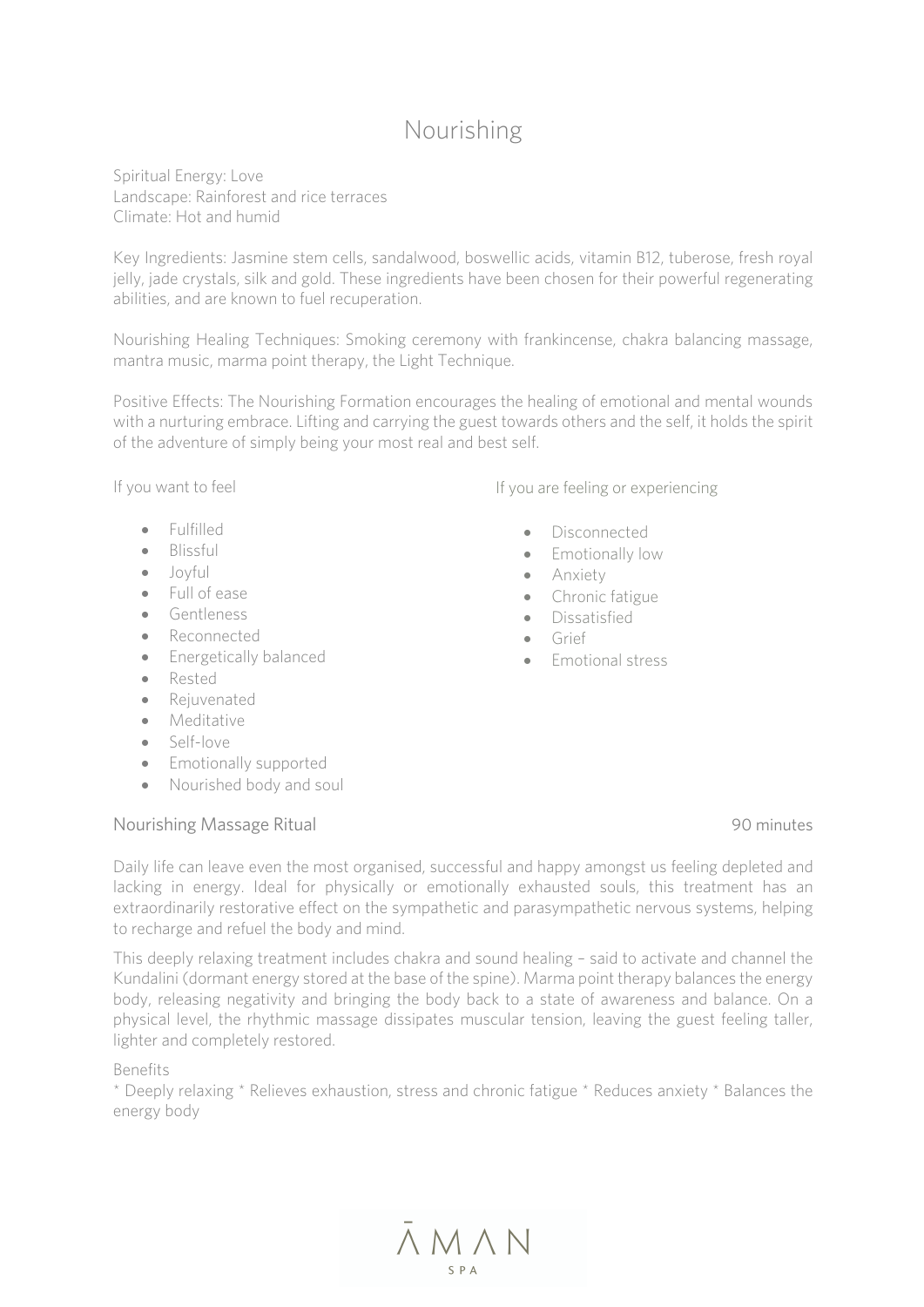## Nourishing

Spiritual Energy: Love Landscape: Rainforest and rice terraces Climate: Hot and humid

Key Ingredients: Jasmine stem cells, sandalwood, boswellic acids, vitamin B12, tuberose, fresh royal jelly, jade crystals, silk and gold. These ingredients have been chosen for their powerful regenerating abilities, and are known to fuel recuperation.

Nourishing Healing Techniques: Smoking ceremony with frankincense, chakra balancing massage, mantra music, marma point therapy, the Light Technique.

Positive Effects: The Nourishing Formation encourages the healing of emotional and mental wounds with a nurturing embrace. Lifting and carrying the guest towards others and the self, it holds the spirit of the adventure of simply being your most real and best self.

If you want to feel

- Fulfilled
- Blissful
- Joyful
- Full of ease
- Gentleness
- Reconnected
- Energetically balanced
- Rested
- Rejuvenated
- Meditative
- Self-love
- Emotionally supported
- Nourished body and soul

#### Nourishing Massage Ritual 1903 and 1908 and 1908 and 1908 and 1908 and 1908 and 1908 and 1908 and 1908 and 190

Daily life can leave even the most organised, successful and happy amongst us feeling depleted and lacking in energy. Ideal for physically or emotionally exhausted souls, this treatment has an extraordinarily restorative effect on the sympathetic and parasympathetic nervous systems, helping to recharge and refuel the body and mind.

This deeply relaxing treatment includes chakra and sound healing – said to activate and channel the Kundalini (dormant energy stored at the base of the spine). Marma point therapy balances the energy body, releasing negativity and bringing the body back to a state of awareness and balance. On a physical level, the rhythmic massage dissipates muscular tension, leaving the guest feeling taller, lighter and completely restored.

#### Benefits

\* Deeply relaxing \* Relieves exhaustion, stress and chronic fatigue \* Reduces anxiety \* Balances the energy body

If you are feeling or experiencing

- Disconnected
- Emotionally low
- Anxiety
- Chronic fatigue
- Dissatisfied
- Grief
- **Emotional stress**

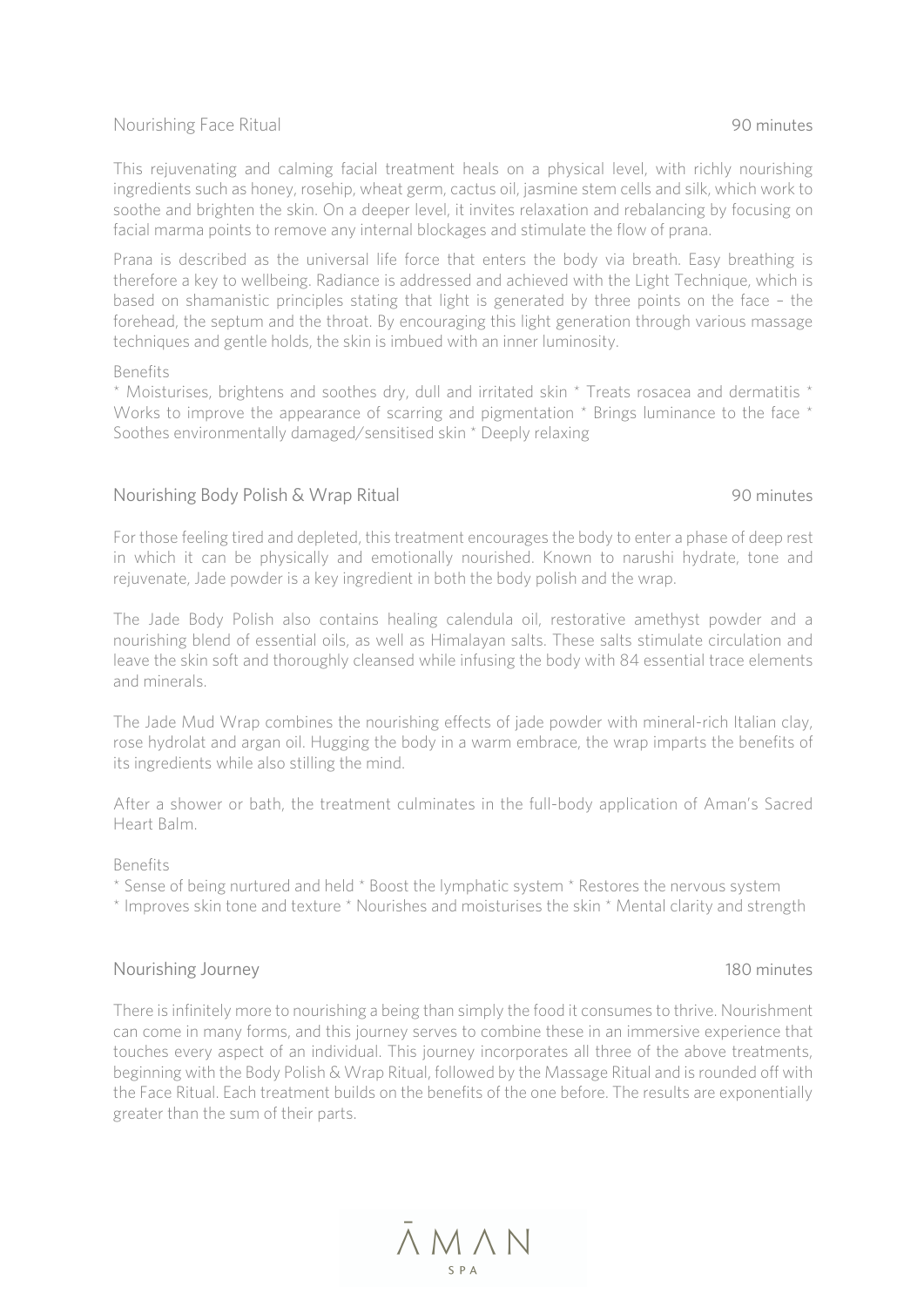#### Nourishing Face Ritual 1999 and 1999 and 1999 and 1999 and 1999 and 1999 and 1999 and 1999 and 1999 and 1999 and 199

This rejuvenating and calming facial treatment heals on a physical level, with richly nourishing ingredients such as honey, rosehip, wheat germ, cactus oil, jasmine stem cells and silk, which work to soothe and brighten the skin. On a deeper level, it invites relaxation and rebalancing by focusing on facial marma points to remove any internal blockages and stimulate the flow of prana.

Prana is described as the universal life force that enters the body via breath. Easy breathing is therefore a key to wellbeing. Radiance is addressed and achieved with the Light Technique, which is based on shamanistic principles stating that light is generated by three points on the face – the forehead, the septum and the throat. By encouraging this light generation through various massage techniques and gentle holds, the skin is imbued with an inner luminosity.

#### Benefits

\* Moisturises, brightens and soothes dry, dull and irritated skin \* Treats rosacea and dermatitis \* Works to improve the appearance of scarring and pigmentation \* Brings luminance to the face \* Soothes environmentally damaged/sensitised skin \* Deeply relaxing

#### Nourishing Body Polish & Wrap Ritual 90 minutes

For those feeling tired and depleted, this treatment encourages the body to enter a phase of deep rest in which it can be physically and emotionally nourished. Known to narushi hydrate, tone and rejuvenate, Jade powder is a key ingredient in both the body polish and the wrap.

The Jade Body Polish also contains healing calendula oil, restorative amethyst powder and a nourishing blend of essential oils, as well as Himalayan salts. These salts stimulate circulation and leave the skin soft and thoroughly cleansed while infusing the body with 84 essential trace elements and minerals.

The Jade Mud Wrap combines the nourishing effects of jade powder with mineral-rich Italian clay, rose hydrolat and argan oil. Hugging the body in a warm embrace, the wrap imparts the benefits of its ingredients while also stilling the mind.

After a shower or bath, the treatment culminates in the full-body application of Aman's Sacred Heart Balm.

Benefits

\* Sense of being nurtured and held \* Boost the lymphatic system \* Restores the nervous system

\* Improves skin tone and texture \* Nourishes and moisturises the skin \* Mental clarity and strength

#### Nourishing Journey 180 minutes

There is infinitely more to nourishing a being than simply the food it consumes to thrive. Nourishment can come in many forms, and this journey serves to combine these in an immersive experience that touches every aspect of an individual. This journey incorporates all three of the above treatments, beginning with the Body Polish & Wrap Ritual, followed by the Massage Ritual and is rounded off with the Face Ritual. Each treatment builds on the benefits of the one before. The results are exponentially greater than the sum of their parts.

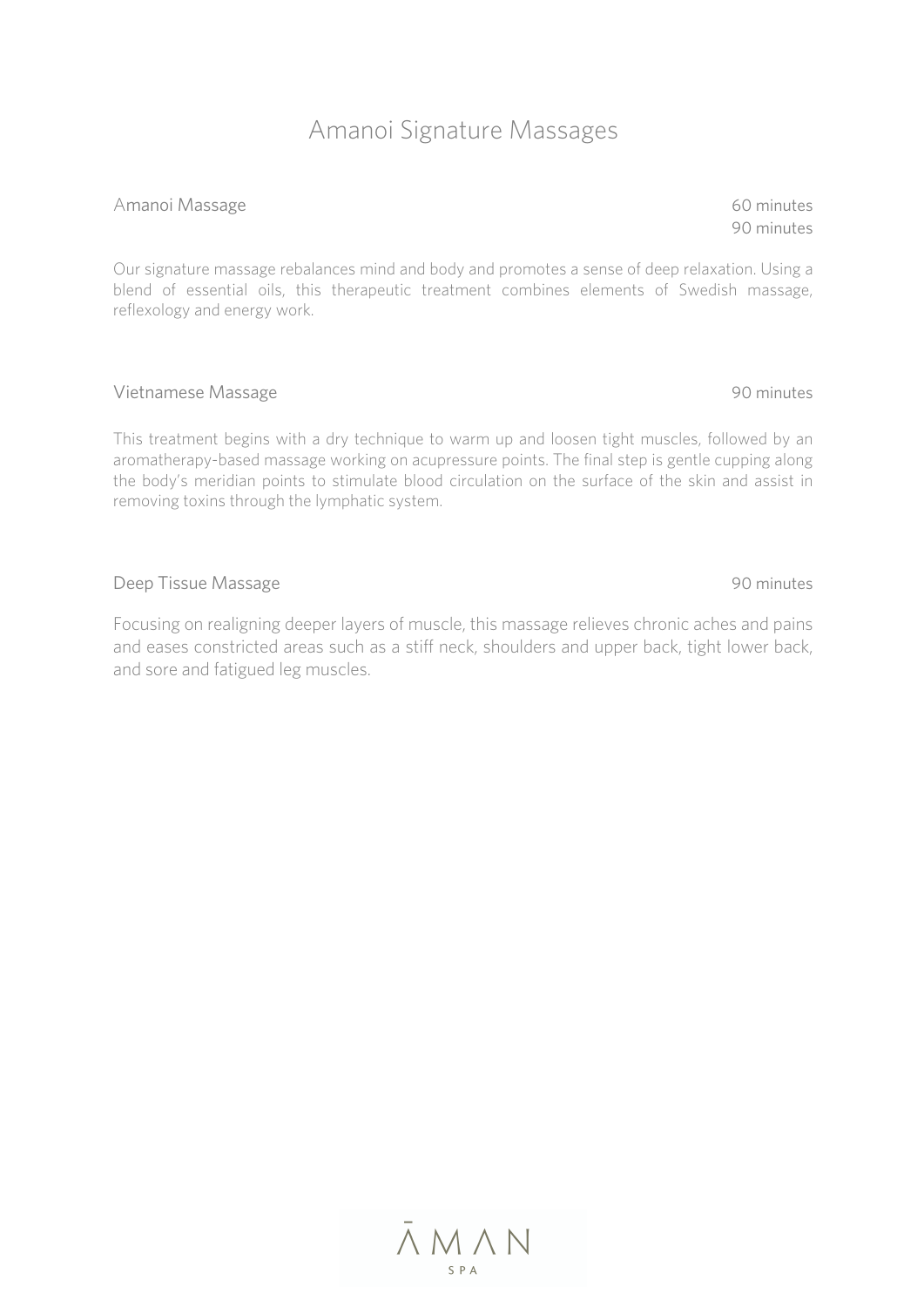## Amanoi Signature Massages

### Amanoi Massage 60 minutes

Our signature massage rebalances mind and body and promotes a sense of deep relaxation. Using a blend of essential oils, this therapeutic treatment combines elements of Swedish massage, reflexology and energy work.

#### Vietnamese Massage 90 minutes

This treatment begins with a dry technique to warm up and loosen tight muscles, followed by an aromatherapy-based massage working on acupressure points. The final step is gentle cupping along the body's meridian points to stimulate blood circulation on the surface of the skin and assist in removing toxins through the lymphatic system.

### Deep Tissue Massage 90 minutes

Focusing on realigning deeper layers of muscle, this massage relieves chronic aches and pains and eases constricted areas such as a stiff neck, shoulders and upper back, tight lower back, and sore and fatigued leg muscles.

90 minutes

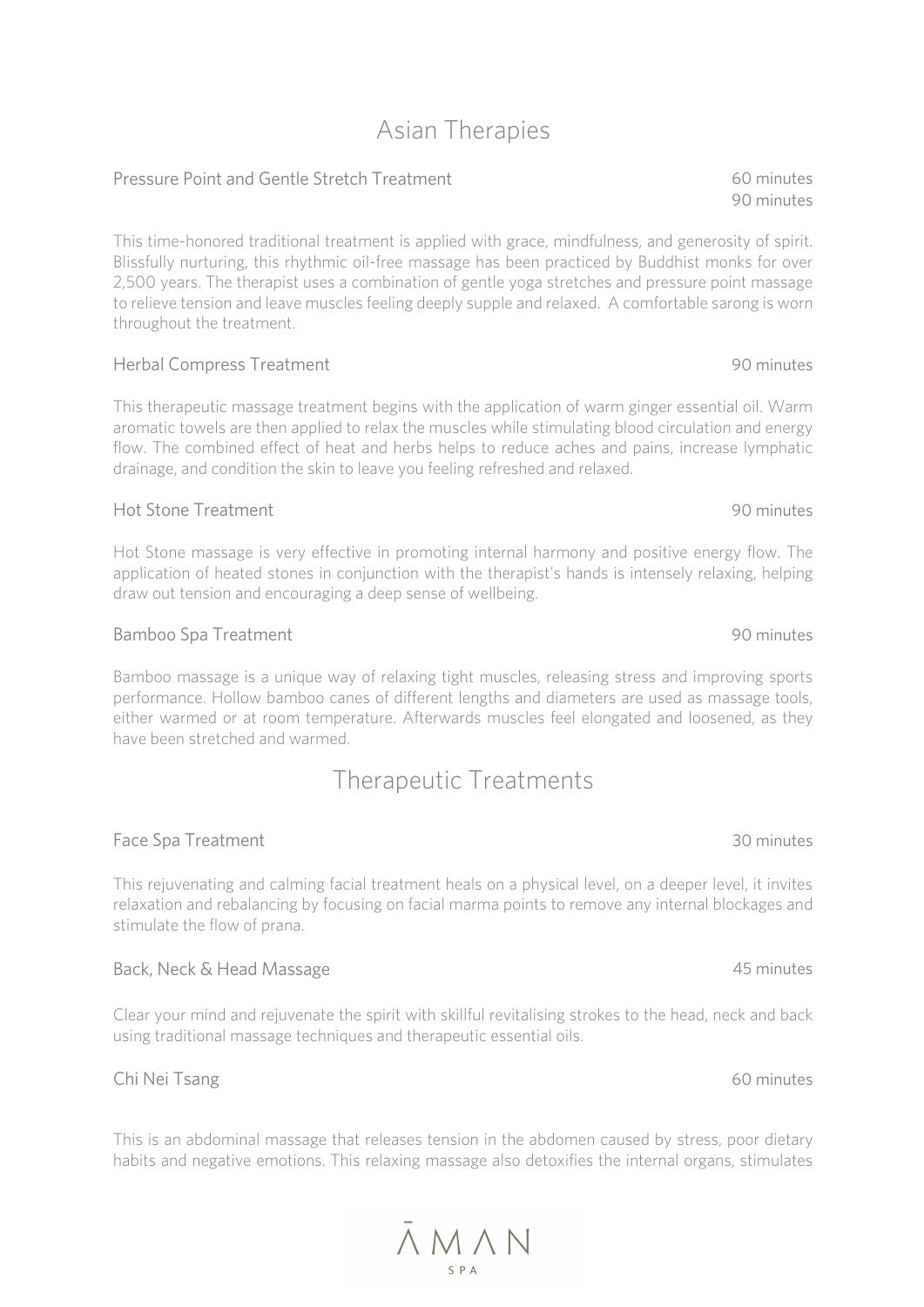# Asian Therapies

### Pressure Point and Gentle Stretch Treatment 60 minutes

This time-honored traditional treatment is applied with grace, mindfulness, and generosity of spirit. Blissfully nurturing, this rhythmic oil-free massage has been practiced by Buddhist monks for over 2,500 years. The therapist uses a combination of gentle yoga stretches and pressure point massage to relieve tension and leave muscles feeling deeply supple and relaxed. A comfortable sarong is worn throughout the treatment.

#### Herbal Compress Treatment **1998** and 1999 and 1999 and 1999 and 1999 and 1999 and 1999 and 1999 and 1999 and 199

This therapeutic massage treatment begins with the application of warm ginger essential oil. Warm aromatic towels are then applied to relax the muscles while stimulating blood circulation and energy flow. The combined effect of heat and herbs helps to reduce aches and pains, increase lymphatic drainage, and condition the skin to leave you feeling refreshed and relaxed.

#### Hot Stone Treatment 90 minutes

Hot Stone massage is very effective in promoting internal harmony and positive energy flow. The application of heated stones in conjunction with the therapist's hands is intensely relaxing, helping draw out tension and encouraging a deep sense of wellbeing.

#### Bamboo Spa Treatment 90 minutes

Bamboo massage is a unique way of relaxing tight muscles, releasing stress and improving sports performance. Hollow bamboo canes of different lengths and diameters are used as massage tools, either warmed or at room temperature. Afterwards muscles feel elongated and loosened, as they have been stretched and warmed.

### Therapeutic Treatments

#### Face Spa Treatment 30 minutes 30 minutes

This rejuvenating and calming facial treatment heals on a physical level, on a deeper level, it invites relaxation and rebalancing by focusing on facial marma points to remove any internal blockages and stimulate the flow of prana.

#### Back, Neck & Head Massage 45 minutes

Clear your mind and rejuvenate the spirit with skillful revitalising strokes to the head, neck and back using traditional massage techniques and therapeutic essential oils.

### Chi Nei Tsang 60 minutes

This is an abdominal massage that releases tension in the abdomen caused by stress, poor dietary habits and negative emotions. This relaxing massage also detoxifies the internal organs, stimulates



90 minutes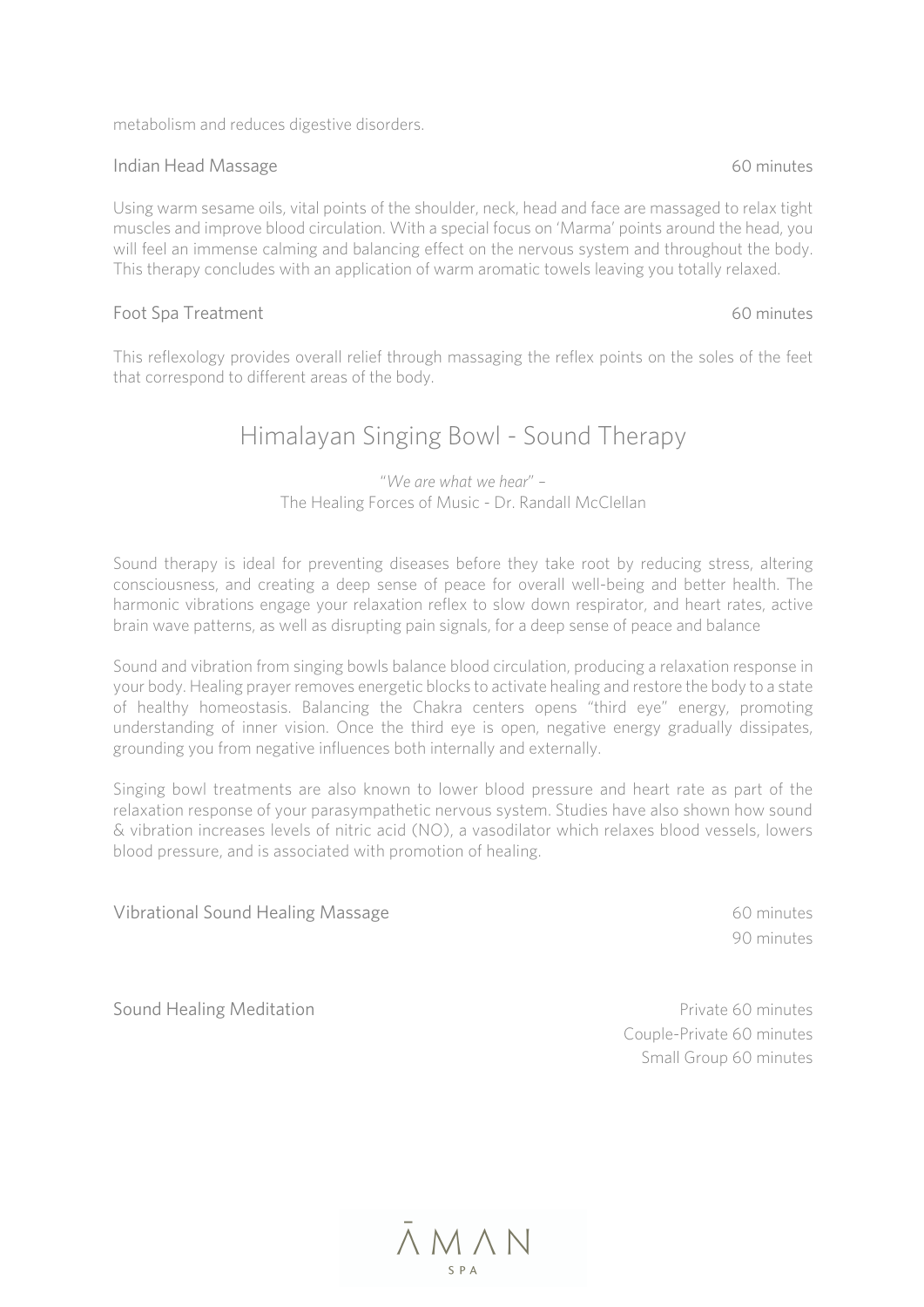metabolism and reduces digestive disorders.

Indian Head Massage 60 minutes

Using warm sesame oils, vital points of the shoulder, neck, head and face are massaged to relax tight muscles and improve blood circulation. With a special focus on 'Marma' points around the head, you will feel an immense calming and balancing effect on the nervous system and throughout the body. This therapy concludes with an application of warm aromatic towels leaving you totally relaxed.

#### Foot Spa Treatment **60 minutes** 60 minutes

This reflexology provides overall relief through massaging the reflex points on the soles of the feet that correspond to different areas of the body.

### Himalayan Singing Bowl - Sound Therapy

#### "*We are what we hear*" – The Healing Forces of Music - Dr. Randall McClellan

Sound therapy is ideal for preventing diseases before they take root by reducing stress, altering consciousness, and creating a deep sense of peace for overall well-being and better health. The harmonic vibrations engage your relaxation reflex to slow down respirator, and heart rates, active brain wave patterns, as well as disrupting pain signals, for a deep sense of peace and balance

Sound and vibration from singing bowls balance blood circulation, producing a relaxation response in your body. Healing prayer removes energetic blocks to activate healing and restore the body to a state of healthy homeostasis. Balancing the Chakra centers opens "third eye" energy, promoting understanding of inner vision. Once the third eye is open, negative energy gradually dissipates, grounding you from negative influences both internally and externally.

Singing bowl treatments are also known to lower blood pressure and heart rate as part of the relaxation response of your parasympathetic nervous system. Studies have also shown how sound & vibration increases levels of nitric acid (NO), a vasodilator which relaxes blood vessels, lowers blood pressure, and is associated with promotion of healing.

Vibrational Sound Healing Massage 60 minutes

90 minutes

Sound Healing Meditation **Private 60 minutes** 

Couple-Private 60 minutes Small Group 60 minutes

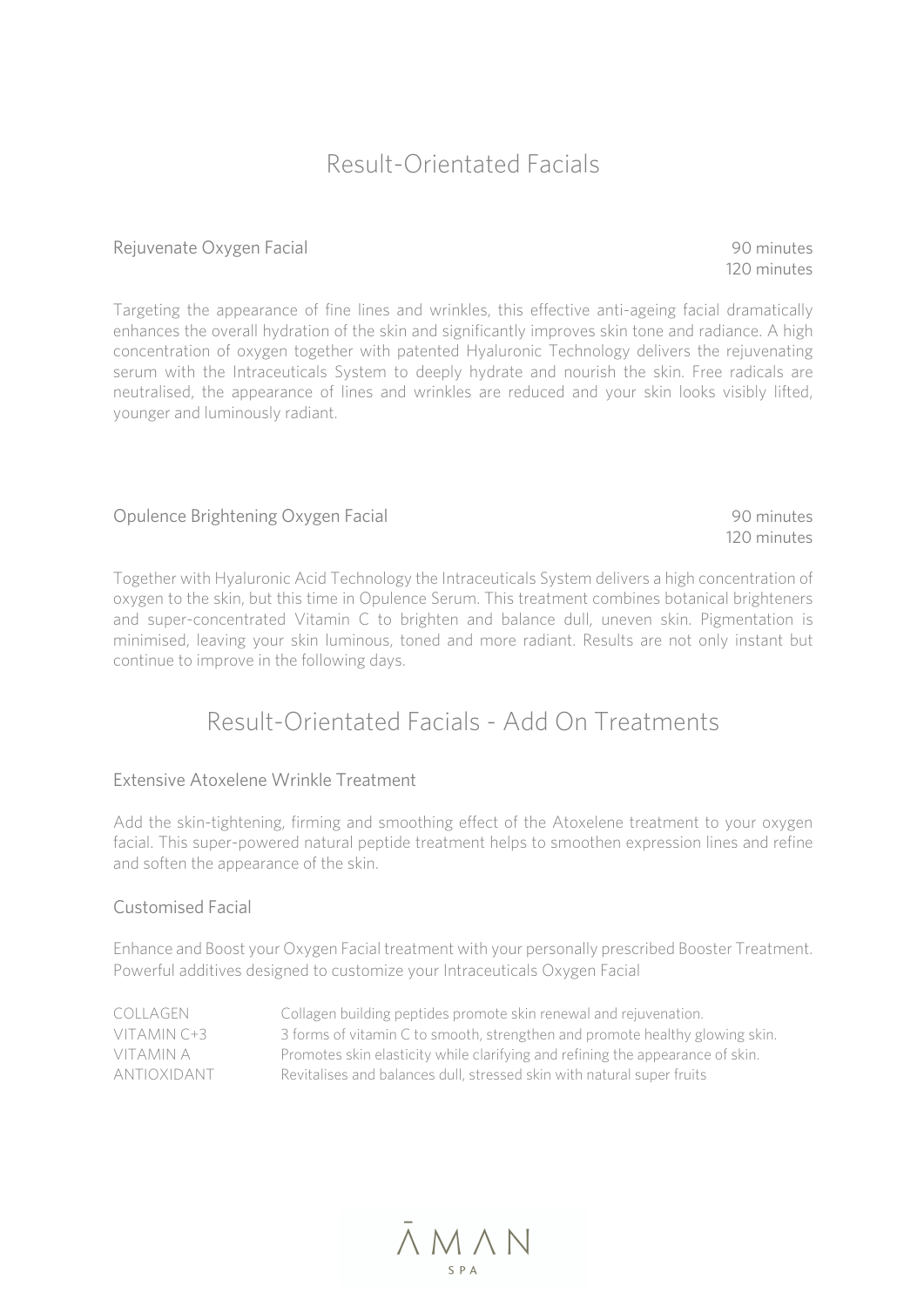## Result-Orientated Facials

#### Rejuvenate Oxygen Facial 90 minutes

120 minutes

Targeting the appearance of fine lines and wrinkles, this effective anti-ageing facial dramatically enhances the overall hydration of the skin and significantly improves skin tone and radiance. A high concentration of oxygen together with patented Hyaluronic Technology delivers the rejuvenating serum with the Intraceuticals System to deeply hydrate and nourish the skin. Free radicals are neutralised, the appearance of lines and wrinkles are reduced and your skin looks visibly lifted, younger and luminously radiant.

#### Opulence Brightening Oxygen Facial 90 minutes

120 minutes

Together with Hyaluronic Acid Technology the Intraceuticals System delivers a high concentration of oxygen to the skin, but this time in Opulence Serum. This treatment combines botanical brighteners and super-concentrated Vitamin C to brighten and balance dull, uneven skin. Pigmentation is minimised, leaving your skin luminous, toned and more radiant. Results are not only instant but continue to improve in the following days.

### Result-Orientated Facials - Add On Treatments

#### Extensive Atoxelene Wrinkle Treatment

Add the skin-tightening, firming and smoothing effect of the Atoxelene treatment to your oxygen facial. This super-powered natural peptide treatment helps to smoothen expression lines and refine and soften the appearance of the skin.

#### Customised Facial

Enhance and Boost your Oxygen Facial treatment with your personally prescribed Booster Treatment. Powerful additives designed to customize your Intraceuticals Oxygen Facial

| COLLAGEN    | Collagen building peptides promote skin renewal and rejuvenation.              |
|-------------|--------------------------------------------------------------------------------|
| VITAMIN C+3 | 3 forms of vitamin C to smooth, strengthen and promote healthy glowing skin.   |
| VITAMIN A   | Promotes skin elasticity while clarifying and refining the appearance of skin. |
| ANTIOXIDANT | Revitalises and balances dull, stressed skin with natural super fruits         |

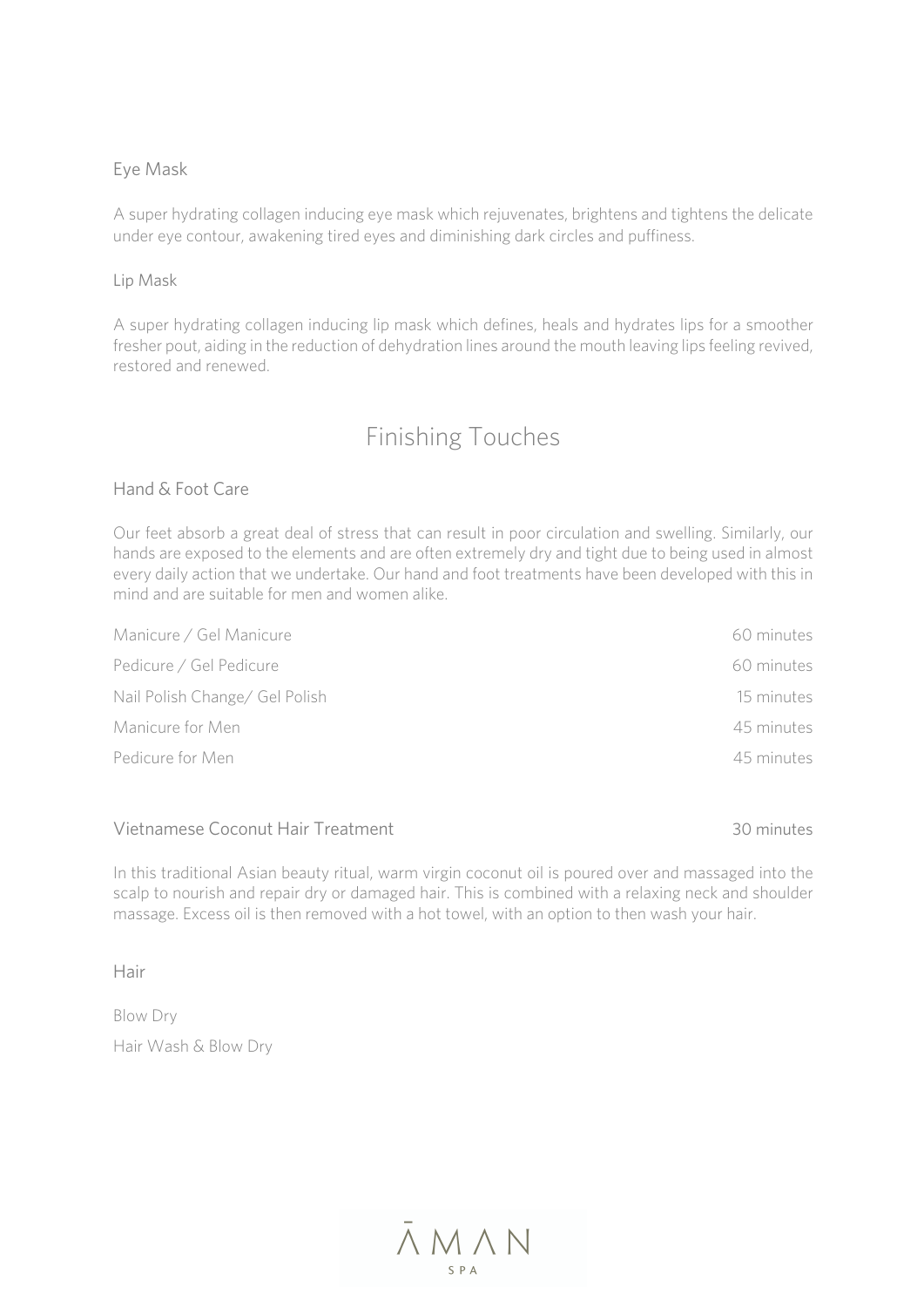#### Eye Mask

A super hydrating collagen inducing eye mask which rejuvenates, brightens and tightens the delicate under eye contour, awakening tired eyes and diminishing dark circles and puffiness.

#### Lip Mask

A super hydrating collagen inducing lip mask which defines, heals and hydrates lips for a smoother fresher pout, aiding in the reduction of dehydration lines around the mouth leaving lips feeling revived, restored and renewed.

### Finishing Touches

#### Hand & Foot Care

Our feet absorb a great deal of stress that can result in poor circulation and swelling. Similarly, our hands are exposed to the elements and are often extremely dry and tight due to being used in almost every daily action that we undertake. Our hand and foot treatments have been developed with this in mind and are suitable for men and women alike.

| Pedicure / Gel Pedicure<br>Nail Polish Change/ Gel Polish<br>Manicure for Men<br>Pedicure for Men | Manicure / Gel Manicure | 60 minutes |
|---------------------------------------------------------------------------------------------------|-------------------------|------------|
|                                                                                                   |                         | 60 minutes |
|                                                                                                   |                         | 15 minutes |
|                                                                                                   |                         | 45 minutes |
|                                                                                                   |                         | 45 minutes |

#### Vietnamese Coconut Hair Treatment 30 minutes

In this traditional Asian beauty ritual, warm virgin coconut oil is poured over and massaged into the scalp to nourish and repair dry or damaged hair. This is combined with a relaxing neck and shoulder massage. Excess oil is then removed with a hot towel, with an option to then wash your hair.

Hair

Blow Dry Hair Wash & Blow Dry

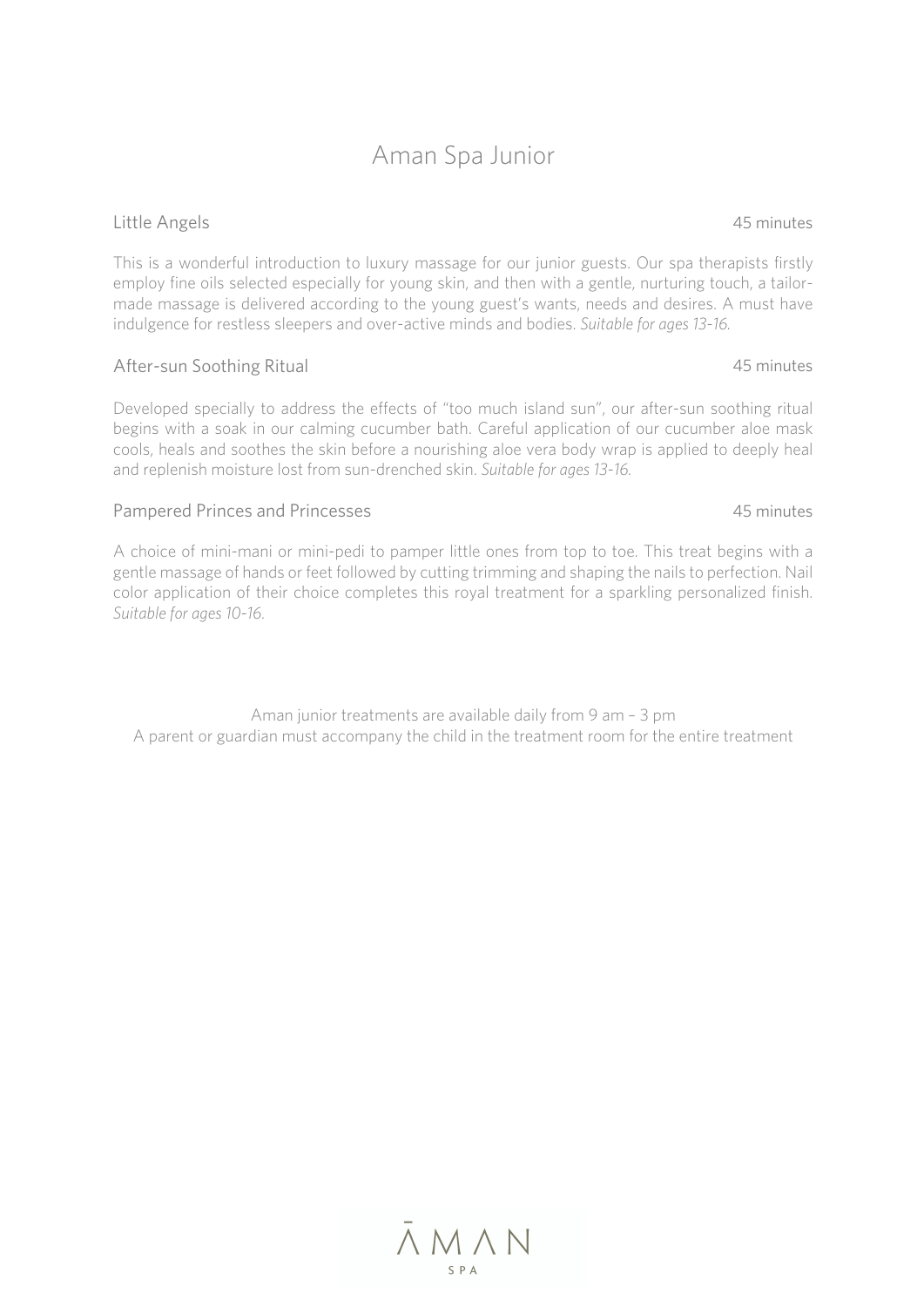## Aman Spa Junior

#### Little Angels 45 minutes

This is a wonderful introduction to luxury massage for our junior guests. Our spa therapists firstly employ fine oils selected especially for young skin, and then with a gentle, nurturing touch, a tailormade massage is delivered according to the young guest's wants, needs and desires. A must have indulgence for restless sleepers and over-active minds and bodies. *Suitable for ages 13-16.*

#### After-sun Soothing Ritual 45 minutes

Developed specially to address the effects of "too much island sun", our after-sun soothing ritual begins with a soak in our calming cucumber bath. Careful application of our cucumber aloe mask cools, heals and soothes the skin before a nourishing aloe vera body wrap is applied to deeply heal and replenish moisture lost from sun-drenched skin. *Suitable for ages 13-16.*

#### Pampered Princes and Princesses **Accord Princesses** 45 minutes

A choice of mini-mani or mini-pedi to pamper little ones from top to toe. This treat begins with a gentle massage of hands or feet followed by cutting trimming and shaping the nails to perfection. Nail color application of their choice completes this royal treatment for a sparkling personalized finish. *Suitable for ages 10-16.*

Aman junior treatments are available daily from 9 am – 3 pm A parent or guardian must accompany the child in the treatment room for the entire treatment

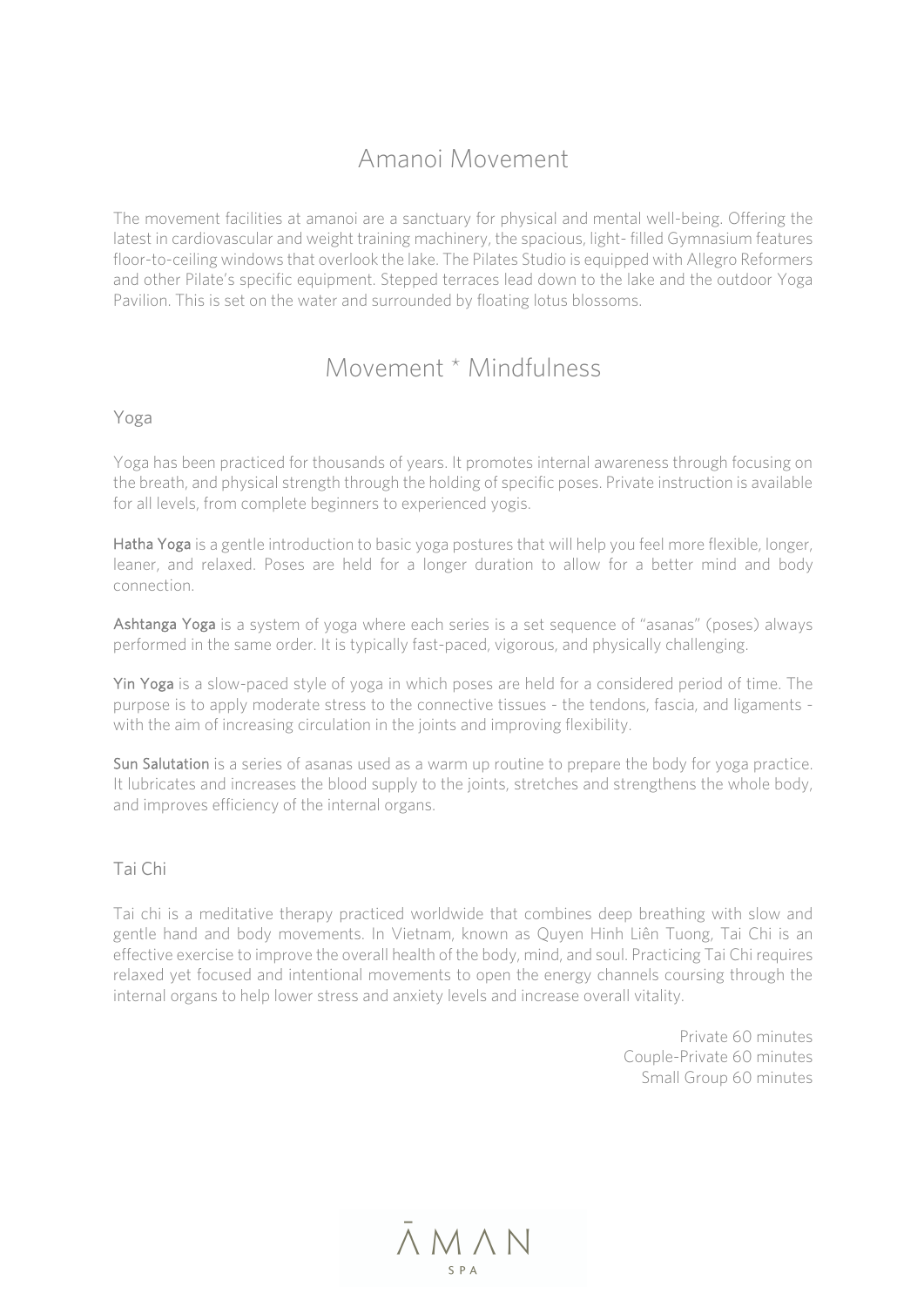# Amanoi Movement

The movement facilities at amanoi are a sanctuary for physical and mental well-being. Offering the latest in cardiovascular and weight training machinery, the spacious, light- filled Gymnasium features floor-to-ceiling windows that overlook the lake. The Pilates Studio is equipped with Allegro Reformers and other Pilate's specific equipment. Stepped terraces lead down to the lake and the outdoor Yoga Pavilion. This is set on the water and surrounded by floating lotus blossoms.

## Movement \* Mindfulness

#### Yoga

Yoga has been practiced for thousands of years. It promotes internal awareness through focusing on the breath, and physical strength through the holding of specific poses. Private instruction is available for all levels, from complete beginners to experienced yogis.

Hatha Yoga is a gentle introduction to basic yoga postures that will help you feel more flexible, longer, leaner, and relaxed. Poses are held for a longer duration to allow for a better mind and body connection.

Ashtanga Yoga is a system of yoga where each series is a set sequence of "asanas" (poses) always performed in the same order. It is typically fast-paced, vigorous, and physically challenging.

Yin Yoga is a slow-paced style of yoga in which poses are held for a considered period of time. The purpose is to apply moderate stress to the connective tissues - the tendons, fascia, and ligaments with the aim of increasing circulation in the joints and improving flexibility.

Sun Salutation is a series of asanas used as a warm up routine to prepare the body for yoga practice. It lubricates and increases the blood supply to the joints, stretches and strengthens the whole body, and improves efficiency of the internal organs.

#### Tai Chi

Tai chi is a meditative therapy practiced worldwide that combines deep breathing with slow and gentle hand and body movements. In Vietnam, known as Quyen Hinh Liên Tuong, Tai Chi is an effective exercise to improve the overall health of the body, mind, and soul. Practicing Tai Chi requires relaxed yet focused and intentional movements to open the energy channels coursing through the internal organs to help lower stress and anxiety levels and increase overall vitality.

> Private 60 minutes Couple-Private 60 minutes Small Group 60 minutes

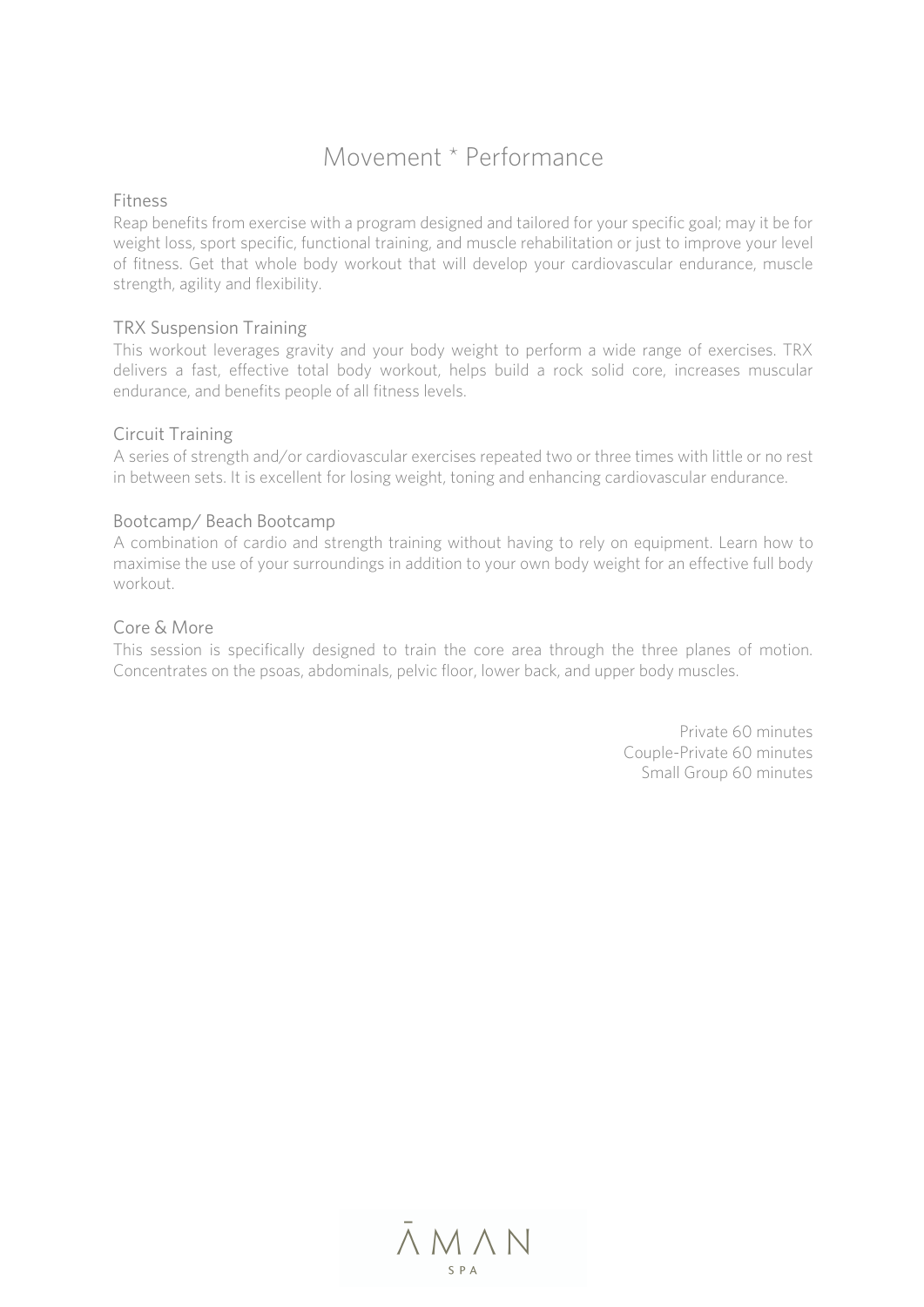# Movement \* Performance

#### Fitness

Reap benefits from exercise with a program designed and tailored for your specific goal; may it be for weight loss, sport specific, functional training, and muscle rehabilitation or just to improve your level of fitness. Get that whole body workout that will develop your cardiovascular endurance, muscle strength, agility and flexibility.

#### TRX Suspension Training

This workout leverages gravity and your body weight to perform a wide range of exercises. TRX delivers a fast, effective total body workout, helps build a rock solid core, increases muscular endurance, and benefits people of all fitness levels.

#### Circuit Training

A series of strength and/or cardiovascular exercises repeated two or three times with little or no rest in between sets. It is excellent for losing weight, toning and enhancing cardiovascular endurance.

### Bootcamp/ Beach Bootcamp

A combination of cardio and strength training without having to rely on equipment. Learn how to maximise the use of your surroundings in addition to your own body weight for an effective full body workout.

#### Core & More

This session is specifically designed to train the core area through the three planes of motion. Concentrates on the psoas, abdominals, pelvic floor, lower back, and upper body muscles.

> Private 60 minutes Couple-Private 60 minutes Small Group 60 minutes

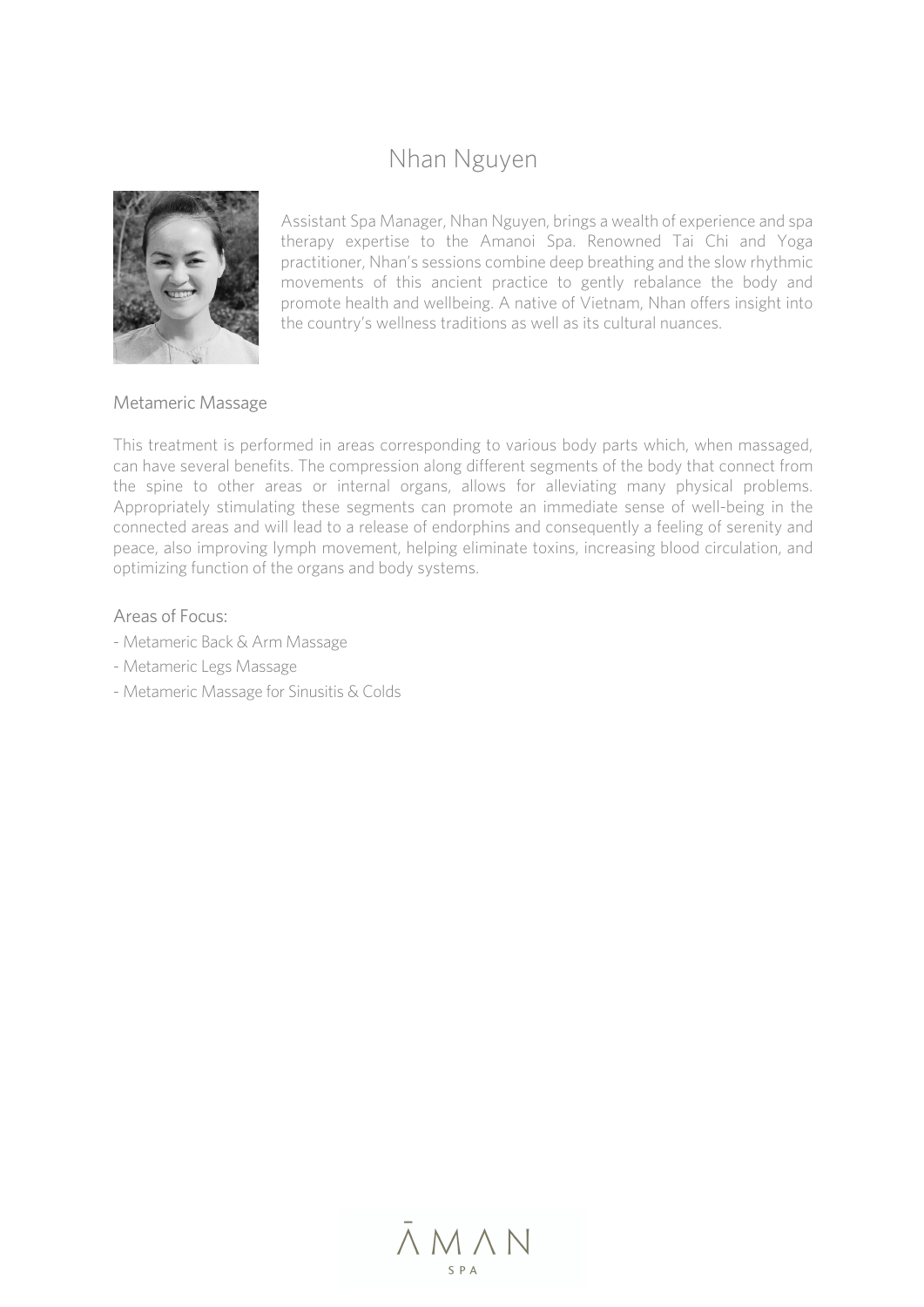### Nhan Nguyen



Assistant Spa Manager, Nhan Nguyen, brings a wealth of experience and spa therapy expertise to the Amanoi Spa. Renowned Tai Chi and Yoga practitioner, Nhan's sessions combine deep breathing and the slow rhythmic movements of this ancient practice to gently rebalance the body and promote health and wellbeing. A native of Vietnam, Nhan offers insight into the country's wellness traditions as well as its cultural nuances.

#### Metameric Massage

This treatment is performed in areas corresponding to various body parts which, when massaged, can have several benefits. The compression along different segments of the body that connect from the spine to other areas or internal organs, allows for alleviating many physical problems. Appropriately stimulating these segments can promote an immediate sense of well-being in the connected areas and will lead to a release of endorphins and consequently a feeling of serenity and peace, also improving lymph movement, helping eliminate toxins, increasing blood circulation, and optimizing function of the organs and body systems.

#### Areas of Focus:

- Metameric Back & Arm Massage
- Metameric Legs Massage
- Metameric Massage for Sinusitis & Colds

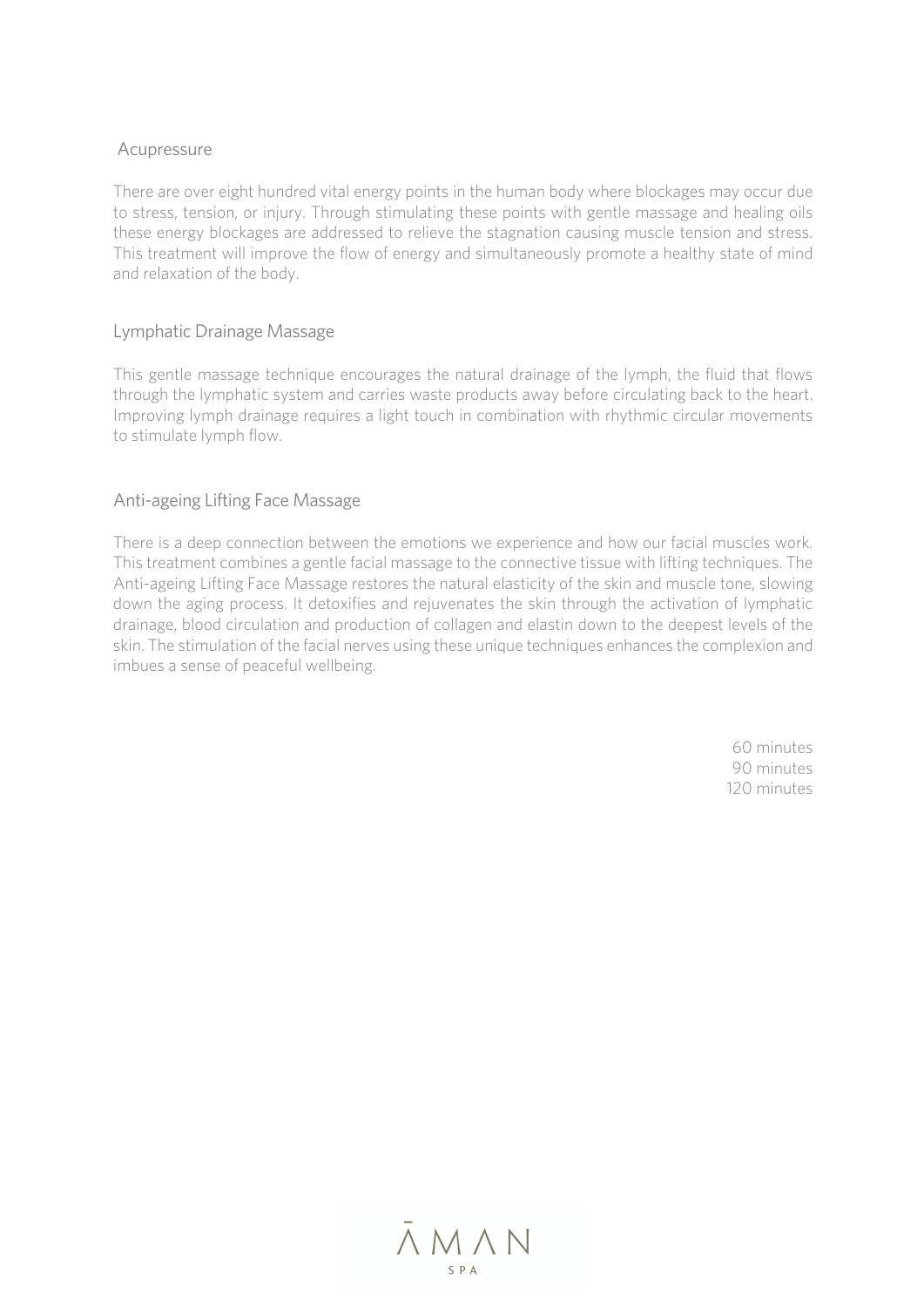#### Acupressure

There are over eight hundred vital energy points in the human body where blockages may occur due to stress, tension, or injury. Through stimulating these points with gentle massage and healing oils these energy blockages are addressed to relieve the stagnation causing muscle tension and stress. This treatment will improve the flow of energy and simultaneously promote a healthy state of mind and relaxation of the body.

#### Lymphatic Drainage Massage

This gentle massage technique encourages the natural drainage of the lymph, the fluid that flows through the lymphatic system and carries waste products away before circulating back to the heart. Improving lymph drainage requires a light touch in combination with rhythmic circular movements to stimulate lymph flow.

#### Anti-ageing Lifting Face Massage

There is a deep connection between the emotions we experience and how our facial muscles work. This treatment combines a gentle facial massage to the connective tissue with lifting techniques. The Anti-ageing Lifting Face Massage restores the natural elasticity of the skin and muscle tone, slowing down the aging process. It detoxifies and rejuvenates the skin through the activation of lymphatic drainage, blood circulation and production of collagen and elastin down to the deepest levels of the skin. The stimulation of the facial nerves using these unique techniques enhances the complexion and imbues a sense of peaceful wellbeing.

> 60 minutes 90 minutes 120 minutes

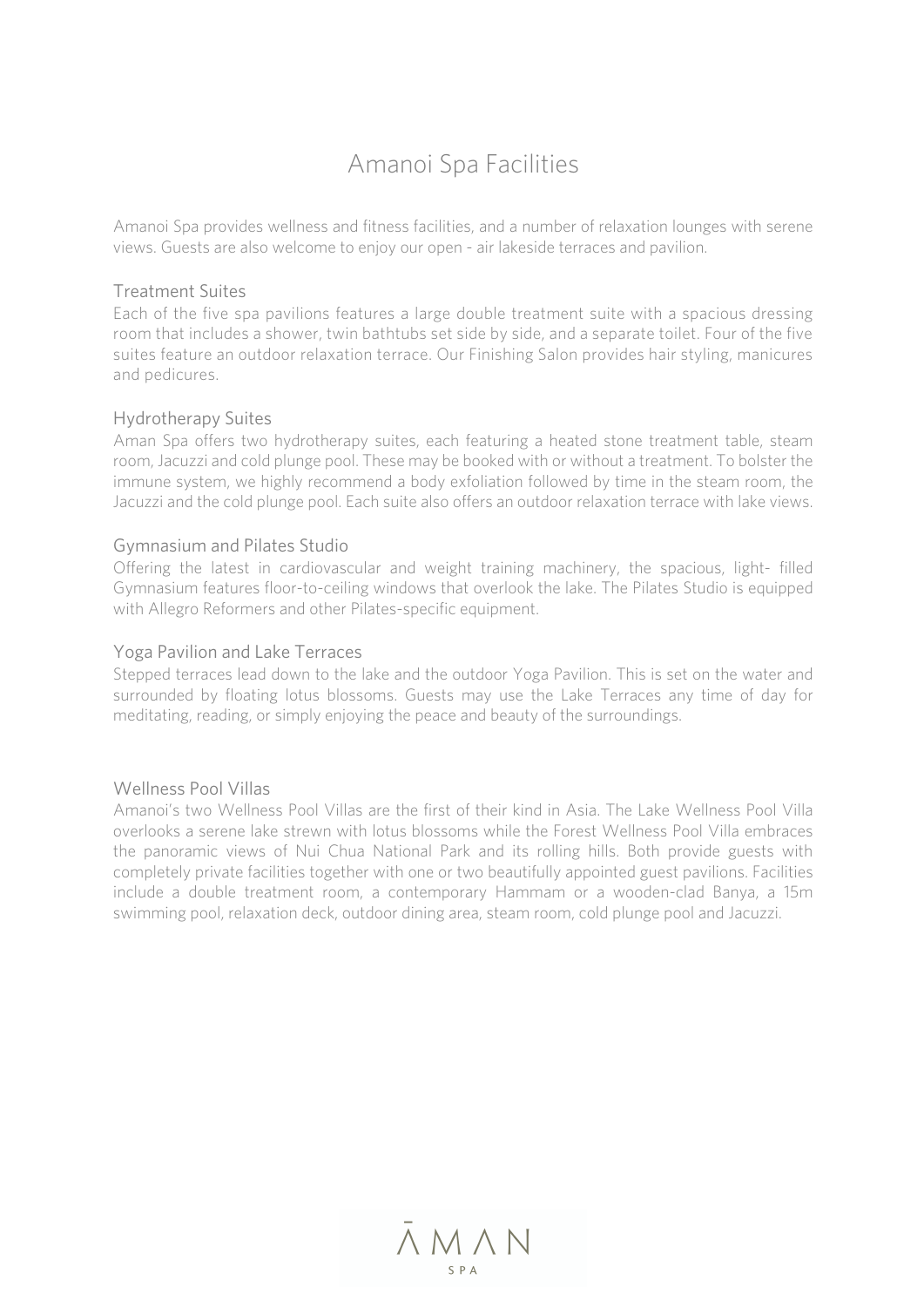# Amanoi Spa Facilities

Amanoi Spa provides wellness and fitness facilities, and a number of relaxation lounges with serene views. Guests are also welcome to enjoy our open - air lakeside terraces and pavilion.

#### Treatment Suites

Each of the five spa pavilions features a large double treatment suite with a spacious dressing room that includes a shower, twin bathtubs set side by side, and a separate toilet. Four of the five suites feature an outdoor relaxation terrace. Our Finishing Salon provides hair styling, manicures and pedicures.

#### Hydrotherapy Suites

Aman Spa offers two hydrotherapy suites, each featuring a heated stone treatment table, steam room, Jacuzzi and cold plunge pool. These may be booked with or without a treatment. To bolster the immune system, we highly recommend a body exfoliation followed by time in the steam room, the Jacuzzi and the cold plunge pool. Each suite also offers an outdoor relaxation terrace with lake views.

#### Gymnasium and Pilates Studio

Offering the latest in cardiovascular and weight training machinery, the spacious, light- filled Gymnasium features floor-to-ceiling windows that overlook the lake. The Pilates Studio is equipped with Allegro Reformers and other Pilates-specific equipment.

#### Yoga Pavilion and Lake Terraces

Stepped terraces lead down to the lake and the outdoor Yoga Pavilion. This is set on the water and surrounded by floating lotus blossoms. Guests may use the Lake Terraces any time of day for meditating, reading, or simply enjoying the peace and beauty of the surroundings.

#### Wellness Pool Villas

Amanoi's two Wellness Pool Villas are the first of their kind in Asia. The Lake Wellness Pool Villa overlooks a serene lake strewn with lotus blossoms while the Forest Wellness Pool Villa embraces the panoramic views of Nui Chua National Park and its rolling hills. Both provide guests with completely private facilities together with one or two beautifully appointed guest pavilions. Facilities include a double treatment room, a contemporary Hammam or a wooden-clad Banya, a 15m swimming pool, relaxation deck, outdoor dining area, steam room, cold plunge pool and Jacuzzi.

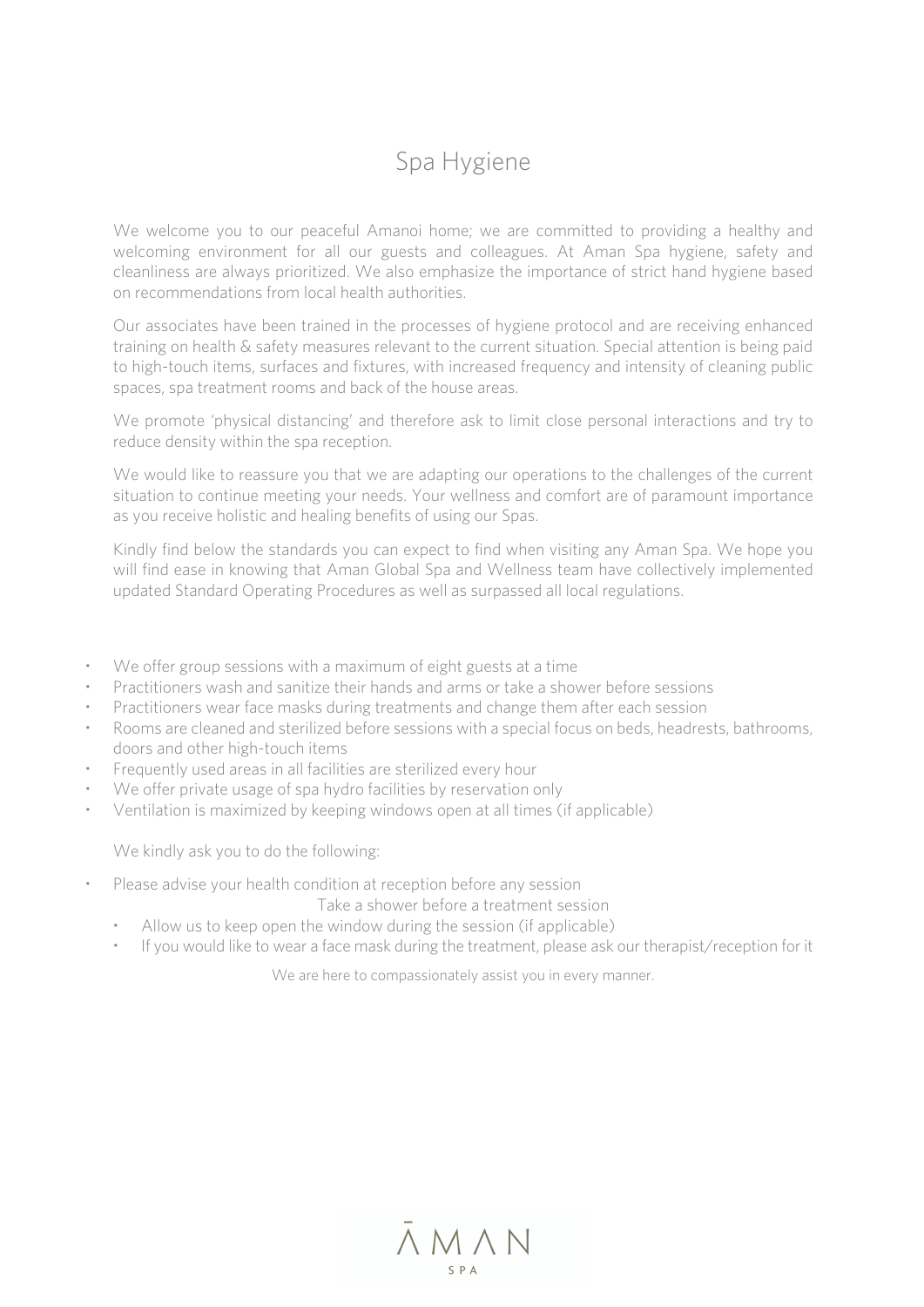# Spa Hygiene

We welcome you to our peaceful Amanoi home; we are committed to providing a healthy and welcoming environment for all our guests and colleagues. At Aman Spa hygiene, safety and cleanliness are always prioritized. We also emphasize the importance of strict hand hygiene based on recommendations from local health authorities.

Our associates have been trained in the processes of hygiene protocol and are receiving enhanced training on health & safety measures relevant to the current situation. Special attention is being paid to high-touch items, surfaces and fixtures, with increased frequency and intensity of cleaning public spaces, spa treatment rooms and back of the house areas.

We promote 'physical distancing' and therefore ask to limit close personal interactions and try to reduce density within the spa reception.

We would like to reassure you that we are adapting our operations to the challenges of the current situation to continue meeting your needs. Your wellness and comfort are of paramount importance as you receive holistic and healing benefits of using our Spas.

Kindly find below the standards you can expect to find when visiting any Aman Spa. We hope you will find ease in knowing that Aman Global Spa and Wellness team have collectively implemented updated Standard Operating Procedures as well as surpassed all local regulations.

- We offer group sessions with a maximum of eight guests at a time
- Practitioners wash and sanitize their hands and arms or take a shower before sessions
- Practitioners wear face masks during treatments and change them after each session
- Rooms are cleaned and sterilized before sessions with a special focus on beds, headrests, bathrooms, doors and other high-touch items
- Frequently used areas in all facilities are sterilized every hour
- We offer private usage of spa hydro facilities by reservation only
- Ventilation is maximized by keeping windows open at all times (if applicable)

We kindly ask you to do the following:

Please advise your health condition at reception before any session

Take a shower before a treatment session

- Allow us to keep open the window during the session (if applicable)
- If you would like to wear a face mask during the treatment, please ask our therapist/reception for it

We are here to compassionately assist you in every manner.

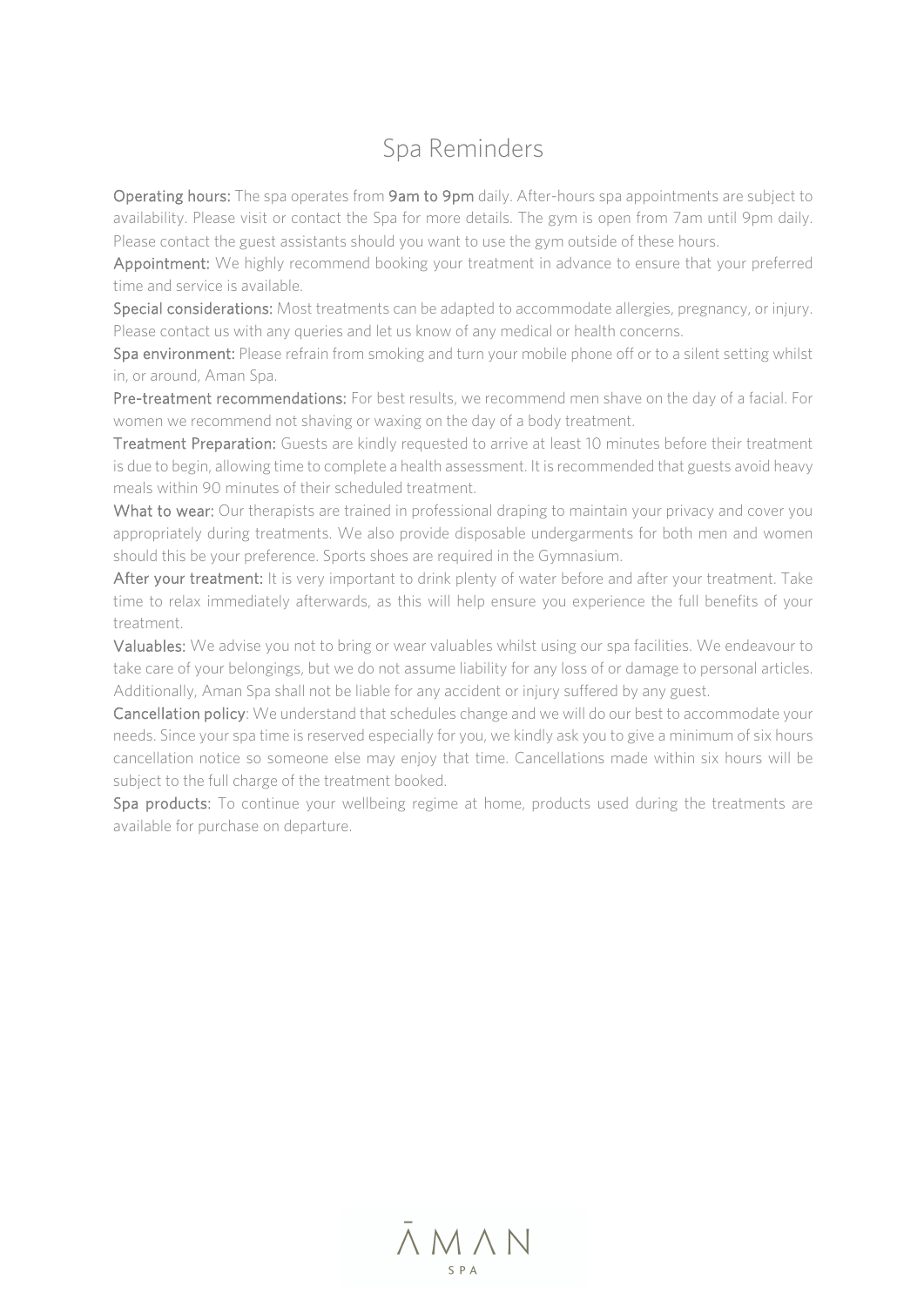## Spa Reminders

Operating hours: The spa operates from 9am to 9pm daily. After-hours spa appointments are subject to availability. Please visit or contact the Spa for more details. The gym is open from 7am until 9pm daily. Please contact the guest assistants should you want to use the gym outside of these hours.

Appointment: We highly recommend booking your treatment in advance to ensure that your preferred time and service is available.

Special considerations: Most treatments can be adapted to accommodate allergies, pregnancy, or injury. Please contact us with any queries and let us know of any medical or health concerns.

Spa environment: Please refrain from smoking and turn your mobile phone off or to a silent setting whilst in, or around, Aman Spa.

Pre-treatment recommendations: For best results, we recommend men shave on the day of a facial. For women we recommend not shaving or waxing on the day of a body treatment.

Treatment Preparation: Guests are kindly requested to arrive at least 10 minutes before their treatment is due to begin, allowing time to complete a health assessment. It is recommended that guests avoid heavy meals within 90 minutes of their scheduled treatment.

What to wear: Our therapists are trained in professional draping to maintain your privacy and cover you appropriately during treatments. We also provide disposable undergarments for both men and women should this be your preference. Sports shoes are required in the Gymnasium.

After your treatment: It is very important to drink plenty of water before and after your treatment. Take time to relax immediately afterwards, as this will help ensure you experience the full benefits of your treatment.

Valuables: We advise you not to bring or wear valuables whilst using our spa facilities. We endeavour to take care of your belongings, but we do not assume liability for any loss of or damage to personal articles. Additionally, Aman Spa shall not be liable for any accident or injury suffered by any guest.

Cancellation policy: We understand that schedules change and we will do our best to accommodate your needs. Since your spa time is reserved especially for you, we kindly ask you to give a minimum of six hours cancellation notice so someone else may enjoy that time. Cancellations made within six hours will be subject to the full charge of the treatment booked.

Spa products: To continue your wellbeing regime at home, products used during the treatments are available for purchase on departure.